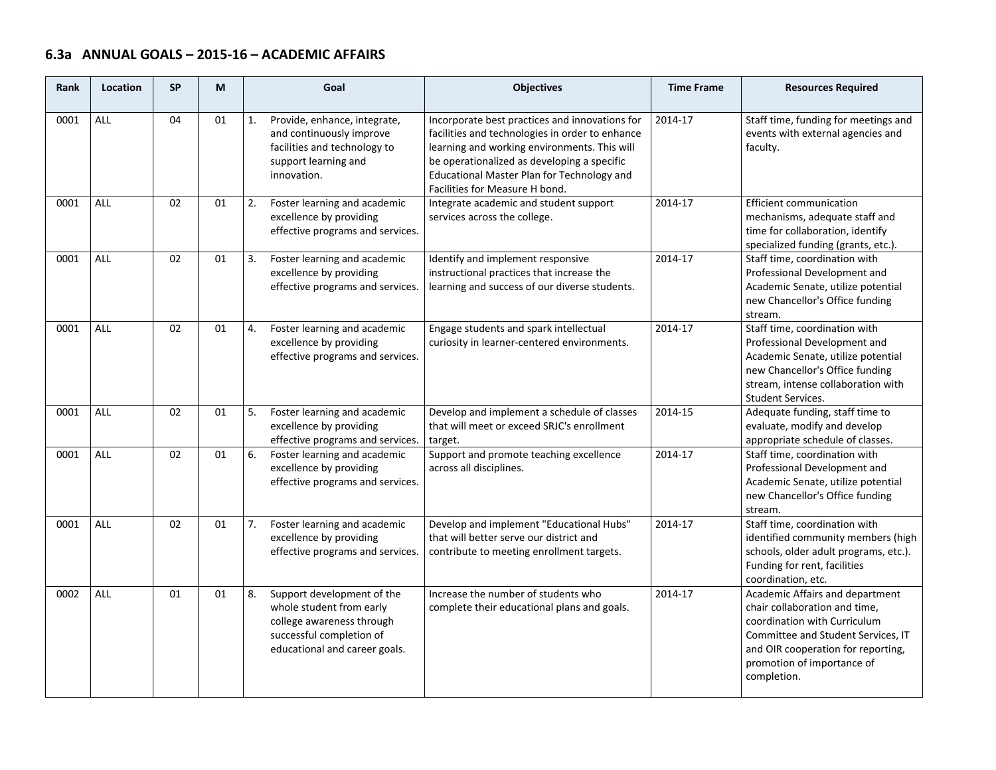## **6.3a ANNUAL GOALS – 2015‐16 – ACADEMIC AFFAIRS**

| Rank | Location   | <b>SP</b> | M  | Goal                                                                                                                                                   | <b>Objectives</b>                                                                                                                                                                                                                                                                | <b>Time Frame</b> | <b>Resources Required</b>                                                                                                                                                                                                 |
|------|------------|-----------|----|--------------------------------------------------------------------------------------------------------------------------------------------------------|----------------------------------------------------------------------------------------------------------------------------------------------------------------------------------------------------------------------------------------------------------------------------------|-------------------|---------------------------------------------------------------------------------------------------------------------------------------------------------------------------------------------------------------------------|
| 0001 | <b>ALL</b> | 04        | 01 | Provide, enhance, integrate,<br>1.<br>and continuously improve<br>facilities and technology to<br>support learning and<br>innovation.                  | Incorporate best practices and innovations for<br>facilities and technologies in order to enhance<br>learning and working environments. This will<br>be operationalized as developing a specific<br>Educational Master Plan for Technology and<br>Facilities for Measure H bond. | 2014-17           | Staff time, funding for meetings and<br>events with external agencies and<br>faculty.                                                                                                                                     |
| 0001 | <b>ALL</b> | 02        | 01 | 2.<br>Foster learning and academic<br>excellence by providing<br>effective programs and services.                                                      | Integrate academic and student support<br>services across the college.                                                                                                                                                                                                           | 2014-17           | Efficient communication<br>mechanisms, adequate staff and<br>time for collaboration, identify<br>specialized funding (grants, etc.).                                                                                      |
| 0001 | ALL        | 02        | 01 | Foster learning and academic<br>3.<br>excellence by providing<br>effective programs and services.                                                      | Identify and implement responsive<br>instructional practices that increase the<br>learning and success of our diverse students.                                                                                                                                                  | 2014-17           | Staff time, coordination with<br>Professional Development and<br>Academic Senate, utilize potential<br>new Chancellor's Office funding<br>stream.                                                                         |
| 0001 | <b>ALL</b> | 02        | 01 | Foster learning and academic<br>4.<br>excellence by providing<br>effective programs and services.                                                      | Engage students and spark intellectual<br>curiosity in learner-centered environments.                                                                                                                                                                                            | 2014-17           | Staff time, coordination with<br>Professional Development and<br>Academic Senate, utilize potential<br>new Chancellor's Office funding<br>stream, intense collaboration with<br><b>Student Services.</b>                  |
| 0001 | <b>ALL</b> | 02        | 01 | Foster learning and academic<br>5.<br>excellence by providing<br>effective programs and services.                                                      | Develop and implement a schedule of classes<br>that will meet or exceed SRJC's enrollment<br>target.                                                                                                                                                                             | 2014-15           | Adequate funding, staff time to<br>evaluate, modify and develop<br>appropriate schedule of classes.                                                                                                                       |
| 0001 | <b>ALL</b> | 02        | 01 | 6.<br>Foster learning and academic<br>excellence by providing<br>effective programs and services.                                                      | Support and promote teaching excellence<br>across all disciplines.                                                                                                                                                                                                               | 2014-17           | Staff time, coordination with<br>Professional Development and<br>Academic Senate, utilize potential<br>new Chancellor's Office funding<br>stream.                                                                         |
| 0001 | <b>ALL</b> | 02        | 01 | Foster learning and academic<br>7.<br>excellence by providing<br>effective programs and services.                                                      | Develop and implement "Educational Hubs"<br>that will better serve our district and<br>contribute to meeting enrollment targets.                                                                                                                                                 | 2014-17           | Staff time, coordination with<br>identified community members (high<br>schools, older adult programs, etc.).<br>Funding for rent, facilities<br>coordination, etc.                                                        |
| 0002 | ALL        | 01        | 01 | 8.<br>Support development of the<br>whole student from early<br>college awareness through<br>successful completion of<br>educational and career goals. | Increase the number of students who<br>complete their educational plans and goals.                                                                                                                                                                                               | 2014-17           | Academic Affairs and department<br>chair collaboration and time,<br>coordination with Curriculum<br>Committee and Student Services, IT<br>and OIR cooperation for reporting,<br>promotion of importance of<br>completion. |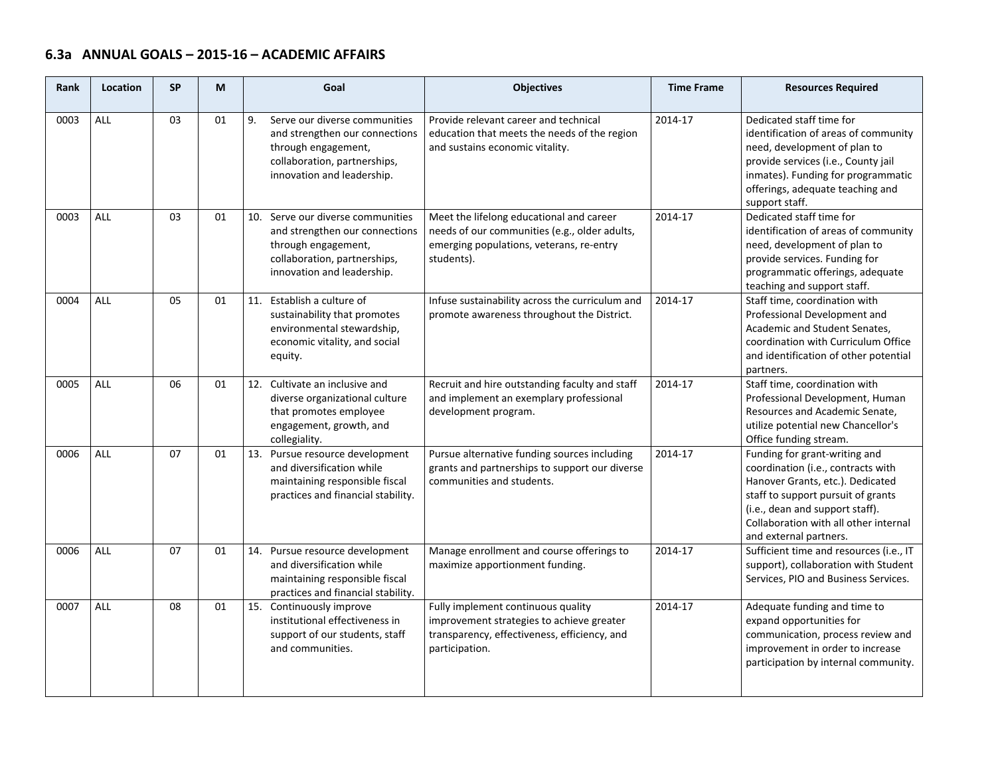## **6.3a ANNUAL GOALS – 2015‐16 – ACADEMIC AFFAIRS**

| <b>Rank</b> | Location   | <b>SP</b> | М  | Goal                                                                                                                                                       | <b>Objectives</b>                                                                                                                                   | <b>Time Frame</b> | <b>Resources Required</b>                                                                                                                                                                                                                           |
|-------------|------------|-----------|----|------------------------------------------------------------------------------------------------------------------------------------------------------------|-----------------------------------------------------------------------------------------------------------------------------------------------------|-------------------|-----------------------------------------------------------------------------------------------------------------------------------------------------------------------------------------------------------------------------------------------------|
| 0003        | <b>ALL</b> | 03        | 01 | 9.<br>Serve our diverse communities<br>and strengthen our connections<br>through engagement,<br>collaboration, partnerships,<br>innovation and leadership. | Provide relevant career and technical<br>education that meets the needs of the region<br>and sustains economic vitality.                            | 2014-17           | Dedicated staff time for<br>identification of areas of community<br>need, development of plan to<br>provide services (i.e., County jail<br>inmates). Funding for programmatic<br>offerings, adequate teaching and<br>support staff.                 |
| 0003        | <b>ALL</b> | 03        | 01 | 10. Serve our diverse communities<br>and strengthen our connections<br>through engagement,<br>collaboration, partnerships,<br>innovation and leadership.   | Meet the lifelong educational and career<br>needs of our communities (e.g., older adults,<br>emerging populations, veterans, re-entry<br>students). | 2014-17           | Dedicated staff time for<br>identification of areas of community<br>need, development of plan to<br>provide services. Funding for<br>programmatic offerings, adequate<br>teaching and support staff.                                                |
| 0004        | <b>ALL</b> | 05        | 01 | 11. Establish a culture of<br>sustainability that promotes<br>environmental stewardship,<br>economic vitality, and social<br>equity.                       | Infuse sustainability across the curriculum and<br>promote awareness throughout the District.                                                       | 2014-17           | Staff time, coordination with<br>Professional Development and<br>Academic and Student Senates,<br>coordination with Curriculum Office<br>and identification of other potential<br>partners.                                                         |
| 0005        | <b>ALL</b> | 06        | 01 | 12. Cultivate an inclusive and<br>diverse organizational culture<br>that promotes employee<br>engagement, growth, and<br>collegiality.                     | Recruit and hire outstanding faculty and staff<br>and implement an exemplary professional<br>development program.                                   | 2014-17           | Staff time, coordination with<br>Professional Development, Human<br>Resources and Academic Senate,<br>utilize potential new Chancellor's<br>Office funding stream.                                                                                  |
| 0006        | <b>ALL</b> | 07        | 01 | 13. Pursue resource development<br>and diversification while<br>maintaining responsible fiscal<br>practices and financial stability.                       | Pursue alternative funding sources including<br>grants and partnerships to support our diverse<br>communities and students.                         | 2014-17           | Funding for grant-writing and<br>coordination (i.e., contracts with<br>Hanover Grants, etc.). Dedicated<br>staff to support pursuit of grants<br>(i.e., dean and support staff).<br>Collaboration with all other internal<br>and external partners. |
| 0006        | ALL        | 07        | 01 | 14. Pursue resource development<br>and diversification while<br>maintaining responsible fiscal<br>practices and financial stability.                       | Manage enrollment and course offerings to<br>maximize apportionment funding.                                                                        | 2014-17           | Sufficient time and resources (i.e., IT<br>support), collaboration with Student<br>Services, PIO and Business Services.                                                                                                                             |
| 0007        | <b>ALL</b> | 08        | 01 | 15. Continuously improve<br>institutional effectiveness in<br>support of our students, staff<br>and communities.                                           | Fully implement continuous quality<br>improvement strategies to achieve greater<br>transparency, effectiveness, efficiency, and<br>participation.   | 2014-17           | Adequate funding and time to<br>expand opportunities for<br>communication, process review and<br>improvement in order to increase<br>participation by internal community.                                                                           |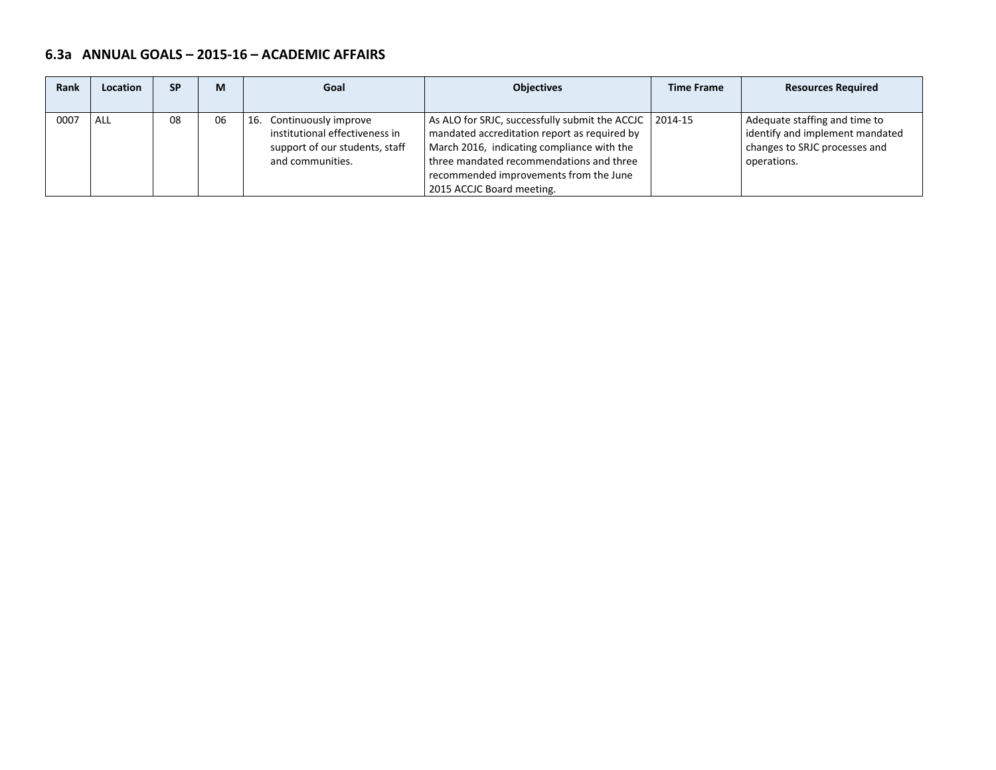## **6.3a ANNUAL GOALS – 2015‐16 – ACADEMIC AFFAIRS**

| Rank | Location | <b>SP</b> | М  | Goal                                                                                                                | <b>Objectives</b>                                                                                                                                                                                                                                                         | <b>Time Frame</b> | <b>Resources Required</b>                                                                                        |
|------|----------|-----------|----|---------------------------------------------------------------------------------------------------------------------|---------------------------------------------------------------------------------------------------------------------------------------------------------------------------------------------------------------------------------------------------------------------------|-------------------|------------------------------------------------------------------------------------------------------------------|
| 0007 | ALL      | 08        | 06 | Continuously improve<br>16.<br>institutional effectiveness in<br>support of our students, staff<br>and communities. | As ALO for SRJC, successfully submit the ACCJC   2014-15<br>mandated accreditation report as required by<br>March 2016, indicating compliance with the<br>three mandated recommendations and three<br>recommended improvements from the June<br>2015 ACCJC Board meeting. |                   | Adequate staffing and time to<br>identify and implement mandated<br>changes to SRJC processes and<br>operations. |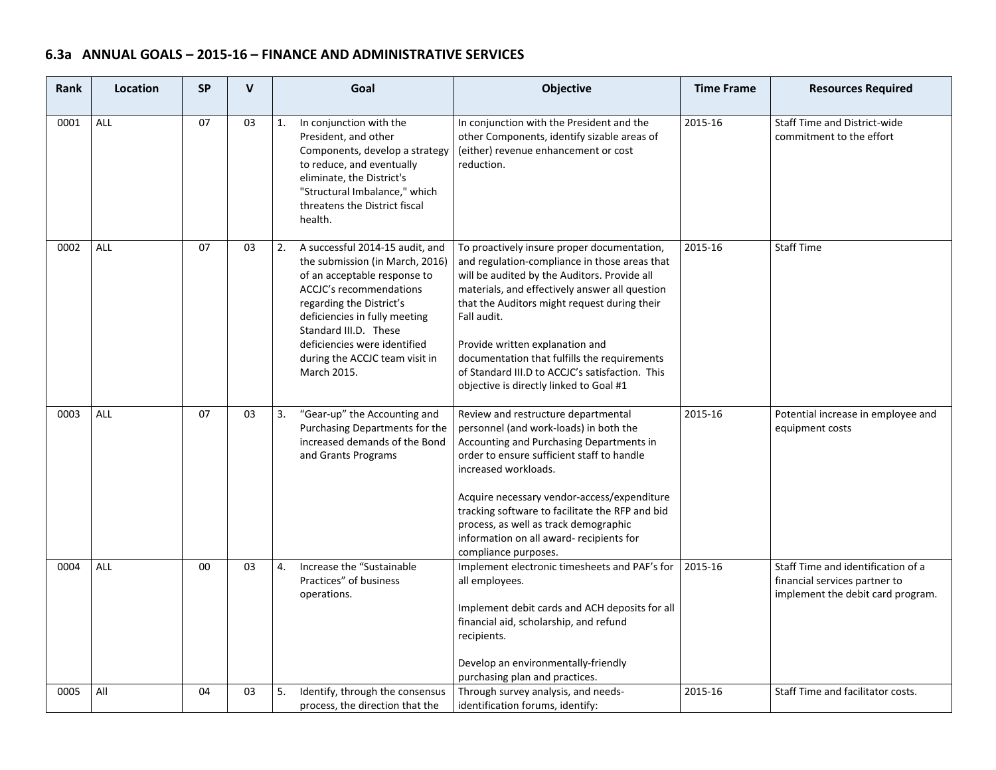# **6.3a ANNUAL GOALS – 2015‐16 – FINANCE AND ADMINISTRATIVE SERVICES**

| <b>Rank</b> | Location   | <b>SP</b> | V  | Goal                                                                                                                                                                                                                                                                                                       | <b>Objective</b>                                                                                                                                                                                                                                                                                                                                                                                                                               | <b>Time Frame</b> | <b>Resources Required</b>                                                                                |
|-------------|------------|-----------|----|------------------------------------------------------------------------------------------------------------------------------------------------------------------------------------------------------------------------------------------------------------------------------------------------------------|------------------------------------------------------------------------------------------------------------------------------------------------------------------------------------------------------------------------------------------------------------------------------------------------------------------------------------------------------------------------------------------------------------------------------------------------|-------------------|----------------------------------------------------------------------------------------------------------|
| 0001        | <b>ALL</b> | 07        | 03 | In conjunction with the<br>1.<br>President, and other<br>Components, develop a strategy<br>to reduce, and eventually<br>eliminate, the District's<br>"Structural Imbalance," which<br>threatens the District fiscal<br>health.                                                                             | In conjunction with the President and the<br>other Components, identify sizable areas of<br>(either) revenue enhancement or cost<br>reduction.                                                                                                                                                                                                                                                                                                 | 2015-16           | Staff Time and District-wide<br>commitment to the effort                                                 |
| 0002        | <b>ALL</b> | 07        | 03 | A successful 2014-15 audit, and<br>2.<br>the submission (in March, 2016)<br>of an acceptable response to<br>ACCJC's recommendations<br>regarding the District's<br>deficiencies in fully meeting<br>Standard III.D. These<br>deficiencies were identified<br>during the ACCJC team visit in<br>March 2015. | To proactively insure proper documentation,<br>and regulation-compliance in those areas that<br>will be audited by the Auditors. Provide all<br>materials, and effectively answer all question<br>that the Auditors might request during their<br>Fall audit.<br>Provide written explanation and<br>documentation that fulfills the requirements<br>of Standard III.D to ACCJC's satisfaction. This<br>objective is directly linked to Goal #1 | 2015-16           | <b>Staff Time</b>                                                                                        |
| 0003        | <b>ALL</b> | 07        | 03 | "Gear-up" the Accounting and<br>3.<br>Purchasing Departments for the<br>increased demands of the Bond<br>and Grants Programs                                                                                                                                                                               | Review and restructure departmental<br>personnel (and work-loads) in both the<br>Accounting and Purchasing Departments in<br>order to ensure sufficient staff to handle<br>increased workloads.<br>Acquire necessary vendor-access/expenditure<br>tracking software to facilitate the RFP and bid<br>process, as well as track demographic<br>information on all award- recipients for<br>compliance purposes.                                 | 2015-16           | Potential increase in employee and<br>equipment costs                                                    |
| 0004        | <b>ALL</b> | $00\,$    | 03 | Increase the "Sustainable<br>$\overline{4}$ .<br>Practices" of business<br>operations.                                                                                                                                                                                                                     | Implement electronic timesheets and PAF's for<br>all employees.<br>Implement debit cards and ACH deposits for all<br>financial aid, scholarship, and refund<br>recipients.<br>Develop an environmentally-friendly<br>purchasing plan and practices.                                                                                                                                                                                            | 2015-16           | Staff Time and identification of a<br>financial services partner to<br>implement the debit card program. |
| 0005        | All        | 04        | 03 | 5.<br>Identify, through the consensus<br>process, the direction that the                                                                                                                                                                                                                                   | Through survey analysis, and needs-<br>identification forums, identify:                                                                                                                                                                                                                                                                                                                                                                        | 2015-16           | Staff Time and facilitator costs.                                                                        |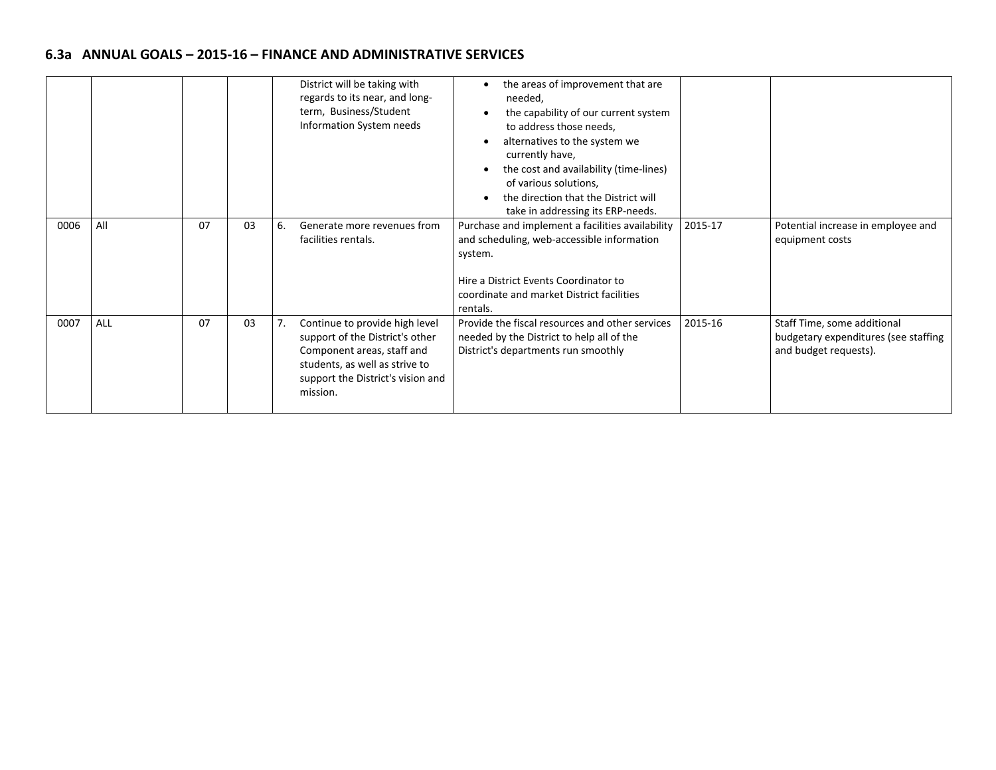# **6.3a ANNUAL GOALS – 2015‐16 – FINANCE AND ADMINISTRATIVE SERVICES**

|      |     |    |    | District will be taking with<br>regards to its near, and long-<br>term, Business/Student<br>Information System needs                                                               | the areas of improvement that are<br>needed,<br>the capability of our current system<br>to address those needs,<br>alternatives to the system we<br>currently have,<br>the cost and availability (time-lines)<br>of various solutions,<br>the direction that the District will<br>take in addressing its ERP-needs. |         |                                                                                              |
|------|-----|----|----|------------------------------------------------------------------------------------------------------------------------------------------------------------------------------------|---------------------------------------------------------------------------------------------------------------------------------------------------------------------------------------------------------------------------------------------------------------------------------------------------------------------|---------|----------------------------------------------------------------------------------------------|
| 0006 | All | 07 | 03 | Generate more revenues from<br>6.<br>facilities rentals.                                                                                                                           | Purchase and implement a facilities availability<br>and scheduling, web-accessible information<br>system.<br>Hire a District Events Coordinator to<br>coordinate and market District facilities<br>rentals.                                                                                                         | 2015-17 | Potential increase in employee and<br>equipment costs                                        |
| 0007 | ALL | 07 | 03 | Continue to provide high level<br>support of the District's other<br>Component areas, staff and<br>students, as well as strive to<br>support the District's vision and<br>mission. | Provide the fiscal resources and other services<br>needed by the District to help all of the<br>District's departments run smoothly                                                                                                                                                                                 | 2015-16 | Staff Time, some additional<br>budgetary expenditures (see staffing<br>and budget requests). |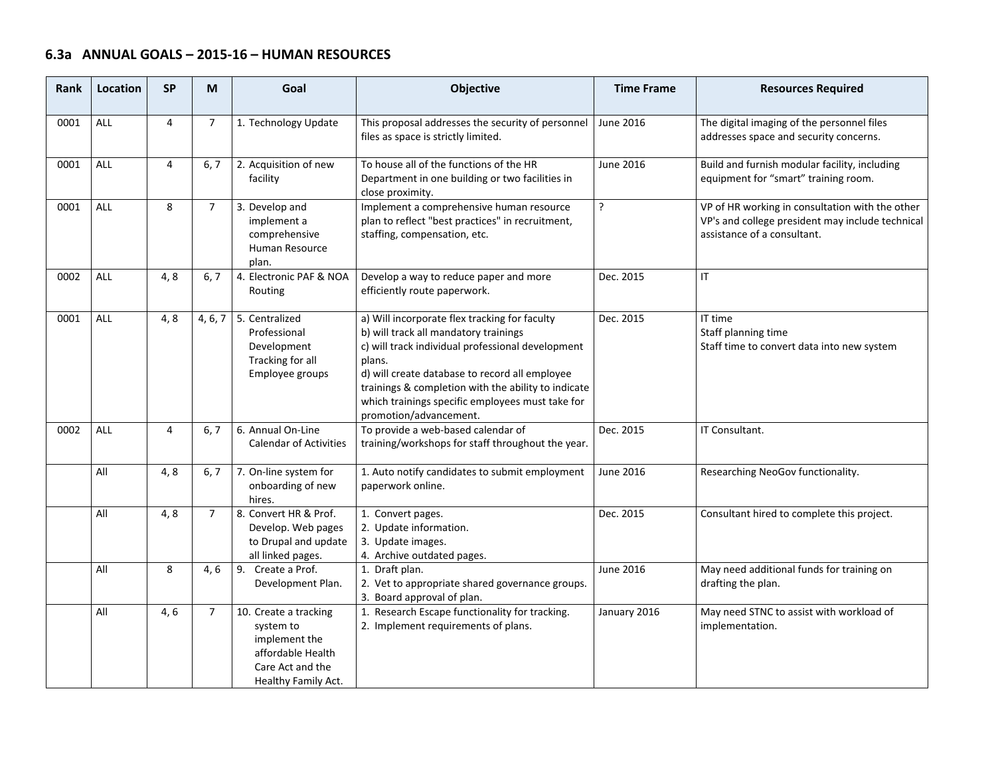# **6.3a ANNUAL GOALS – 2015‐16 – HUMAN RESOURCES**

| <b>Rank</b> | Location   | <b>SP</b>      | M              | Goal                                                                                                                | Objective                                                                                                                                                                                                                                                                                                                                    | <b>Time Frame</b> | <b>Resources Required</b>                                                                                                          |
|-------------|------------|----------------|----------------|---------------------------------------------------------------------------------------------------------------------|----------------------------------------------------------------------------------------------------------------------------------------------------------------------------------------------------------------------------------------------------------------------------------------------------------------------------------------------|-------------------|------------------------------------------------------------------------------------------------------------------------------------|
| 0001        | <b>ALL</b> | $\overline{4}$ | $\overline{7}$ | 1. Technology Update                                                                                                | This proposal addresses the security of personnel<br>files as space is strictly limited.                                                                                                                                                                                                                                                     | June 2016         | The digital imaging of the personnel files<br>addresses space and security concerns.                                               |
| 0001        | ALL        | 4              | 6, 7           | 2. Acquisition of new<br>facility                                                                                   | To house all of the functions of the HR<br>Department in one building or two facilities in<br>close proximity.                                                                                                                                                                                                                               | June 2016         | Build and furnish modular facility, including<br>equipment for "smart" training room.                                              |
| 0001        | <b>ALL</b> | 8              | $\overline{7}$ | 3. Develop and<br>implement a<br>comprehensive<br>Human Resource<br>plan.                                           | Implement a comprehensive human resource<br>plan to reflect "best practices" in recruitment,<br>staffing, compensation, etc.                                                                                                                                                                                                                 | ?                 | VP of HR working in consultation with the other<br>VP's and college president may include technical<br>assistance of a consultant. |
| 0002        | ALL        | 4, 8           | 6, 7           | 4. Electronic PAF & NOA<br>Routing                                                                                  | Develop a way to reduce paper and more<br>efficiently route paperwork.                                                                                                                                                                                                                                                                       | Dec. 2015         | $\mathsf{I}\mathsf{T}$                                                                                                             |
| 0001        | <b>ALL</b> | 4, 8           | 4, 6, 7        | 5. Centralized<br>Professional<br>Development<br>Tracking for all<br>Employee groups                                | a) Will incorporate flex tracking for faculty<br>b) will track all mandatory trainings<br>c) will track individual professional development<br>plans.<br>d) will create database to record all employee<br>trainings & completion with the ability to indicate<br>which trainings specific employees must take for<br>promotion/advancement. | Dec. 2015         | IT time<br>Staff planning time<br>Staff time to convert data into new system                                                       |
| 0002        | ALL        | $\overline{4}$ | 6, 7           | 6. Annual On-Line<br><b>Calendar of Activities</b>                                                                  | To provide a web-based calendar of<br>training/workshops for staff throughout the year.                                                                                                                                                                                                                                                      | Dec. 2015         | IT Consultant.                                                                                                                     |
|             | All        | 4, 8           | 6, 7           | 7. On-line system for<br>onboarding of new<br>hires.                                                                | 1. Auto notify candidates to submit employment<br>paperwork online.                                                                                                                                                                                                                                                                          | June 2016         | Researching NeoGov functionality.                                                                                                  |
|             | All        | 4, 8           | $\overline{7}$ | 8. Convert HR & Prof.<br>Develop. Web pages<br>to Drupal and update<br>all linked pages.                            | 1. Convert pages.<br>2. Update information.<br>3. Update images.<br>4. Archive outdated pages.                                                                                                                                                                                                                                               | Dec. 2015         | Consultant hired to complete this project.                                                                                         |
|             | All        | 8              | 4, 6           | 9. Create a Prof.<br>Development Plan.                                                                              | 1. Draft plan.<br>2. Vet to appropriate shared governance groups.<br>3. Board approval of plan.                                                                                                                                                                                                                                              | June 2016         | May need additional funds for training on<br>drafting the plan.                                                                    |
|             | All        | 4, 6           | $\overline{7}$ | 10. Create a tracking<br>system to<br>implement the<br>affordable Health<br>Care Act and the<br>Healthy Family Act. | 1. Research Escape functionality for tracking.<br>2. Implement requirements of plans.                                                                                                                                                                                                                                                        | January 2016      | May need STNC to assist with workload of<br>implementation.                                                                        |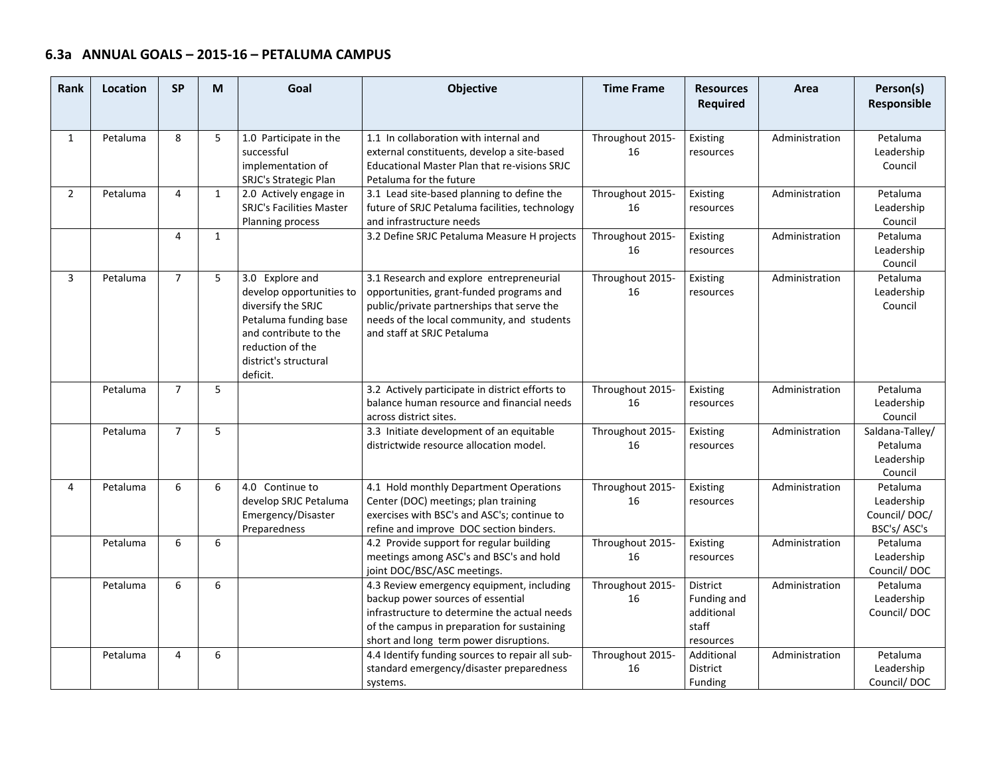| <b>Rank</b>    | Location | <b>SP</b>      | M            | Goal                                                                                                                                                                         | <b>Objective</b>                                                                                                                                                                                                        | <b>Time Frame</b>      | <b>Resources</b><br><b>Required</b>                         | Area           | Person(s)<br>Responsible                              |
|----------------|----------|----------------|--------------|------------------------------------------------------------------------------------------------------------------------------------------------------------------------------|-------------------------------------------------------------------------------------------------------------------------------------------------------------------------------------------------------------------------|------------------------|-------------------------------------------------------------|----------------|-------------------------------------------------------|
| $\mathbf{1}$   | Petaluma | 8              | 5            | 1.0 Participate in the<br>successful<br>implementation of<br>SRJC's Strategic Plan                                                                                           | 1.1 In collaboration with internal and<br>external constituents, develop a site-based<br>Educational Master Plan that re-visions SRJC<br>Petaluma for the future                                                        | Throughout 2015-<br>16 | Existing<br>resources                                       | Administration | Petaluma<br>Leadership<br>Council                     |
| $\overline{2}$ | Petaluma | 4              | $\mathbf{1}$ | 2.0 Actively engage in<br><b>SRJC's Facilities Master</b><br>Planning process                                                                                                | 3.1 Lead site-based planning to define the<br>future of SRJC Petaluma facilities, technology<br>and infrastructure needs                                                                                                | Throughout 2015-<br>16 | Existing<br>resources                                       | Administration | Petaluma<br>Leadership<br>Council                     |
|                |          | 4              | $\mathbf{1}$ |                                                                                                                                                                              | 3.2 Define SRJC Petaluma Measure H projects                                                                                                                                                                             | Throughout 2015-<br>16 | Existing<br>resources                                       | Administration | Petaluma<br>Leadership<br>Council                     |
| $\overline{3}$ | Petaluma | $\overline{7}$ | 5            | 3.0 Explore and<br>develop opportunities to<br>diversify the SRJC<br>Petaluma funding base<br>and contribute to the<br>reduction of the<br>district's structural<br>deficit. | 3.1 Research and explore entrepreneurial<br>opportunities, grant-funded programs and<br>public/private partnerships that serve the<br>needs of the local community, and students<br>and staff at SRJC Petaluma          | Throughout 2015-<br>16 | Existing<br>resources                                       | Administration | Petaluma<br>Leadership<br>Council                     |
|                | Petaluma | $\overline{7}$ | 5            |                                                                                                                                                                              | 3.2 Actively participate in district efforts to<br>balance human resource and financial needs<br>across district sites.                                                                                                 | Throughout 2015-<br>16 | Existing<br>resources                                       | Administration | Petaluma<br>Leadership<br>Council                     |
|                | Petaluma | $\overline{7}$ | 5            |                                                                                                                                                                              | 3.3 Initiate development of an equitable<br>districtwide resource allocation model.                                                                                                                                     | Throughout 2015-<br>16 | Existing<br>resources                                       | Administration | Saldana-Talley/<br>Petaluma<br>Leadership<br>Council  |
| 4              | Petaluma | 6              | 6            | 4.0 Continue to<br>develop SRJC Petaluma<br>Emergency/Disaster<br>Preparedness                                                                                               | 4.1 Hold monthly Department Operations<br>Center (DOC) meetings; plan training<br>exercises with BSC's and ASC's; continue to<br>refine and improve DOC section binders.                                                | Throughout 2015-<br>16 | Existing<br>resources                                       | Administration | Petaluma<br>Leadership<br>Council/DOC/<br>BSC's/ASC's |
|                | Petaluma | 6              | 6            |                                                                                                                                                                              | 4.2 Provide support for regular building<br>meetings among ASC's and BSC's and hold<br>joint DOC/BSC/ASC meetings.                                                                                                      | Throughout 2015-<br>16 | Existing<br>resources                                       | Administration | Petaluma<br>Leadership<br>Council/DOC                 |
|                | Petaluma | 6              | 6            |                                                                                                                                                                              | 4.3 Review emergency equipment, including<br>backup power sources of essential<br>infrastructure to determine the actual needs<br>of the campus in preparation for sustaining<br>short and long term power disruptions. | Throughout 2015-<br>16 | District<br>Funding and<br>additional<br>staff<br>resources | Administration | Petaluma<br>Leadership<br>Council/DOC                 |
|                | Petaluma | 4              | 6            |                                                                                                                                                                              | 4.4 Identify funding sources to repair all sub-<br>standard emergency/disaster preparedness<br>systems.                                                                                                                 | Throughout 2015-<br>16 | <b>Additional</b><br>District<br>Funding                    | Administration | Petaluma<br>Leadership<br>Council/DOC                 |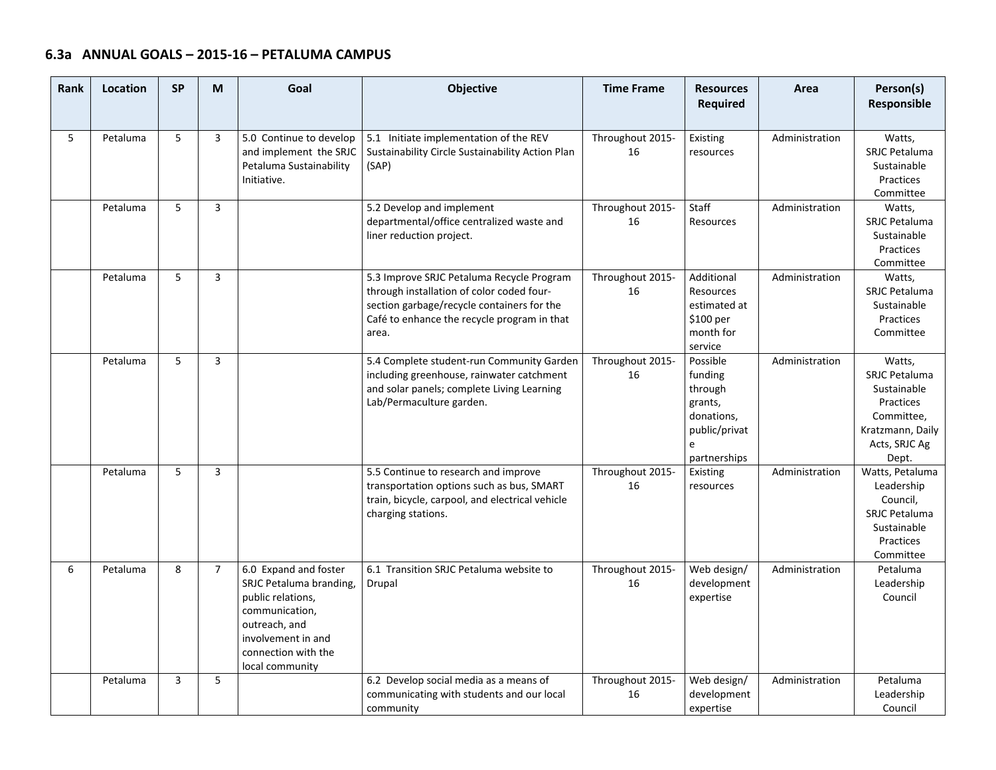| Rank | Location | <b>SP</b>      | M              | Goal                                                                                                                                                                     | Objective                                                                                                                                                                                    | <b>Time Frame</b>      | <b>Resources</b><br><b>Required</b>                                                           | Area           | Person(s)<br>Responsible                                                                                        |
|------|----------|----------------|----------------|--------------------------------------------------------------------------------------------------------------------------------------------------------------------------|----------------------------------------------------------------------------------------------------------------------------------------------------------------------------------------------|------------------------|-----------------------------------------------------------------------------------------------|----------------|-----------------------------------------------------------------------------------------------------------------|
| 5    | Petaluma | 5              | 3              | 5.0 Continue to develop<br>and implement the SRJC<br>Petaluma Sustainability<br>Initiative.                                                                              | 5.1 Initiate implementation of the REV<br>Sustainability Circle Sustainability Action Plan<br>(SAP)                                                                                          | Throughout 2015-<br>16 | Existing<br>resources                                                                         | Administration | Watts,<br><b>SRJC Petaluma</b><br>Sustainable<br>Practices<br>Committee                                         |
|      | Petaluma | 5              | 3              |                                                                                                                                                                          | 5.2 Develop and implement<br>departmental/office centralized waste and<br>liner reduction project.                                                                                           | Throughout 2015-<br>16 | Staff<br>Resources                                                                            | Administration | Watts,<br><b>SRJC Petaluma</b><br>Sustainable<br>Practices<br>Committee                                         |
|      | Petaluma | 5              | 3              |                                                                                                                                                                          | 5.3 Improve SRJC Petaluma Recycle Program<br>through installation of color coded four-<br>section garbage/recycle containers for the<br>Café to enhance the recycle program in that<br>area. | Throughout 2015-<br>16 | Additional<br>Resources<br>estimated at<br>\$100 per<br>month for<br>service                  | Administration | Watts,<br><b>SRJC Petaluma</b><br>Sustainable<br>Practices<br>Committee                                         |
|      | Petaluma | 5              | 3              |                                                                                                                                                                          | 5.4 Complete student-run Community Garden<br>including greenhouse, rainwater catchment<br>and solar panels; complete Living Learning<br>Lab/Permaculture garden.                             | Throughout 2015-<br>16 | Possible<br>funding<br>through<br>grants,<br>donations,<br>public/privat<br>e<br>partnerships | Administration | Watts,<br>SRJC Petaluma<br>Sustainable<br>Practices<br>Committee,<br>Kratzmann, Daily<br>Acts, SRJC Ag<br>Dept. |
|      | Petaluma | 5              | 3              |                                                                                                                                                                          | 5.5 Continue to research and improve<br>transportation options such as bus, SMART<br>train, bicycle, carpool, and electrical vehicle<br>charging stations.                                   | Throughout 2015-<br>16 | Existing<br>resources                                                                         | Administration | Watts, Petaluma<br>Leadership<br>Council,<br><b>SRJC Petaluma</b><br>Sustainable<br>Practices<br>Committee      |
| 6    | Petaluma | 8              | $\overline{7}$ | 6.0 Expand and foster<br>SRJC Petaluma branding,<br>public relations,<br>communication,<br>outreach, and<br>involvement in and<br>connection with the<br>local community | 6.1 Transition SRJC Petaluma website to<br>Drupal                                                                                                                                            | Throughout 2015-<br>16 | Web design/<br>development<br>expertise                                                       | Administration | Petaluma<br>Leadership<br>Council                                                                               |
|      | Petaluma | $\overline{3}$ | 5              |                                                                                                                                                                          | 6.2 Develop social media as a means of<br>communicating with students and our local<br>community                                                                                             | Throughout 2015-<br>16 | Web design/<br>development<br>expertise                                                       | Administration | Petaluma<br>Leadership<br>Council                                                                               |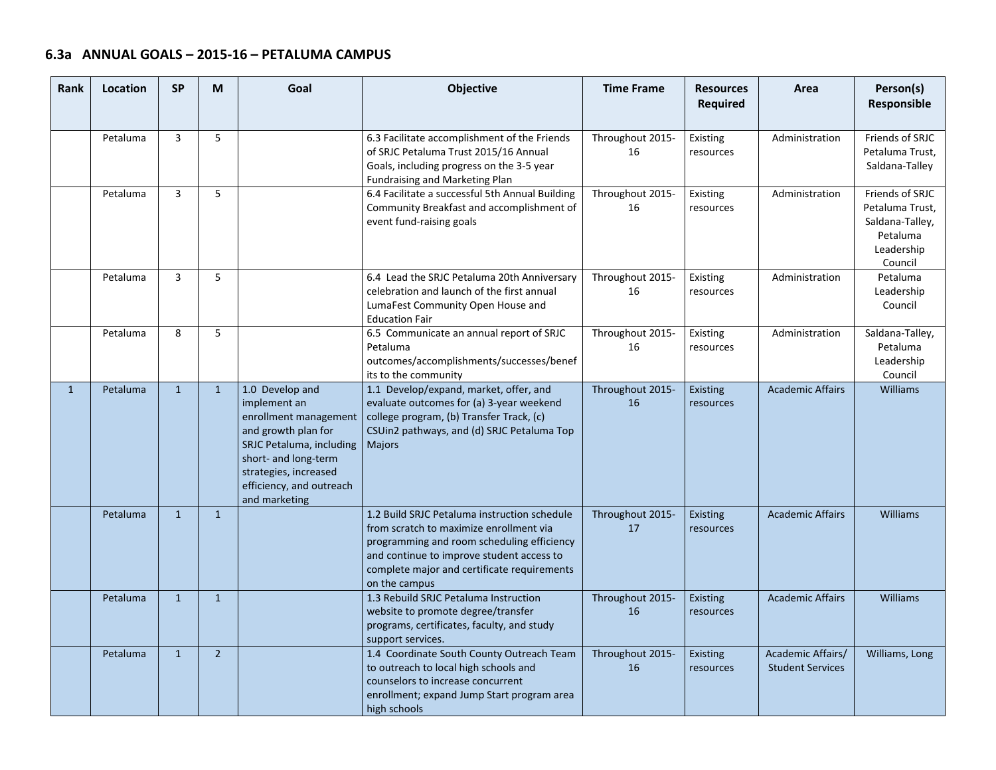| Rank         | Location | <b>SP</b>      | M              | Goal                                                                                                                                                                                                      | Objective                                                                                                                                                                                                                                          | <b>Time Frame</b>      | <b>Resources</b><br><b>Required</b> | Area                                         | Person(s)<br>Responsible                                                                   |
|--------------|----------|----------------|----------------|-----------------------------------------------------------------------------------------------------------------------------------------------------------------------------------------------------------|----------------------------------------------------------------------------------------------------------------------------------------------------------------------------------------------------------------------------------------------------|------------------------|-------------------------------------|----------------------------------------------|--------------------------------------------------------------------------------------------|
|              | Petaluma | $\overline{3}$ | 5              |                                                                                                                                                                                                           | 6.3 Facilitate accomplishment of the Friends<br>of SRJC Petaluma Trust 2015/16 Annual<br>Goals, including progress on the 3-5 year<br>Fundraising and Marketing Plan                                                                               | Throughout 2015-<br>16 | Existing<br>resources               | Administration                               | Friends of SRJC<br>Petaluma Trust,<br>Saldana-Talley                                       |
|              | Petaluma | $\overline{3}$ | 5              |                                                                                                                                                                                                           | 6.4 Facilitate a successful 5th Annual Building<br>Community Breakfast and accomplishment of<br>event fund-raising goals                                                                                                                           | Throughout 2015-<br>16 | Existing<br>resources               | Administration                               | Friends of SRJC<br>Petaluma Trust,<br>Saldana-Talley,<br>Petaluma<br>Leadership<br>Council |
|              | Petaluma | 3              | 5              |                                                                                                                                                                                                           | 6.4 Lead the SRJC Petaluma 20th Anniversary<br>celebration and launch of the first annual<br>LumaFest Community Open House and<br><b>Education Fair</b>                                                                                            | Throughout 2015-<br>16 | Existing<br>resources               | Administration                               | Petaluma<br>Leadership<br>Council                                                          |
|              | Petaluma | 8              | 5              |                                                                                                                                                                                                           | 6.5 Communicate an annual report of SRJC<br>Petaluma<br>outcomes/accomplishments/successes/benef<br>its to the community                                                                                                                           | Throughout 2015-<br>16 | Existing<br>resources               | Administration                               | Saldana-Talley,<br>Petaluma<br>Leadership<br>Council                                       |
| $\mathbf{1}$ | Petaluma | $\mathbf{1}$   | $\mathbf{1}$   | 1.0 Develop and<br>implement an<br>enrollment management<br>and growth plan for<br>SRJC Petaluma, including<br>short- and long-term<br>strategies, increased<br>efficiency, and outreach<br>and marketing | 1.1 Develop/expand, market, offer, and<br>evaluate outcomes for (a) 3-year weekend<br>college program, (b) Transfer Track, (c)<br>CSUin2 pathways, and (d) SRJC Petaluma Top<br><b>Majors</b>                                                      | Throughout 2015-<br>16 | Existing<br>resources               | <b>Academic Affairs</b>                      | <b>Williams</b>                                                                            |
|              | Petaluma | $\mathbf{1}$   | $\mathbf{1}$   |                                                                                                                                                                                                           | 1.2 Build SRJC Petaluma instruction schedule<br>from scratch to maximize enrollment via<br>programming and room scheduling efficiency<br>and continue to improve student access to<br>complete major and certificate requirements<br>on the campus | Throughout 2015-<br>17 | Existing<br>resources               | <b>Academic Affairs</b>                      | Williams                                                                                   |
|              | Petaluma | $\mathbf{1}$   | $\mathbf{1}$   |                                                                                                                                                                                                           | 1.3 Rebuild SRJC Petaluma Instruction<br>website to promote degree/transfer<br>programs, certificates, faculty, and study<br>support services.                                                                                                     | Throughout 2015-<br>16 | Existing<br>resources               | <b>Academic Affairs</b>                      | <b>Williams</b>                                                                            |
|              | Petaluma | $\mathbf{1}$   | $\overline{2}$ |                                                                                                                                                                                                           | 1.4 Coordinate South County Outreach Team<br>to outreach to local high schools and<br>counselors to increase concurrent<br>enrollment; expand Jump Start program area<br>high schools                                                              | Throughout 2015-<br>16 | Existing<br>resources               | Academic Affairs/<br><b>Student Services</b> | Williams, Long                                                                             |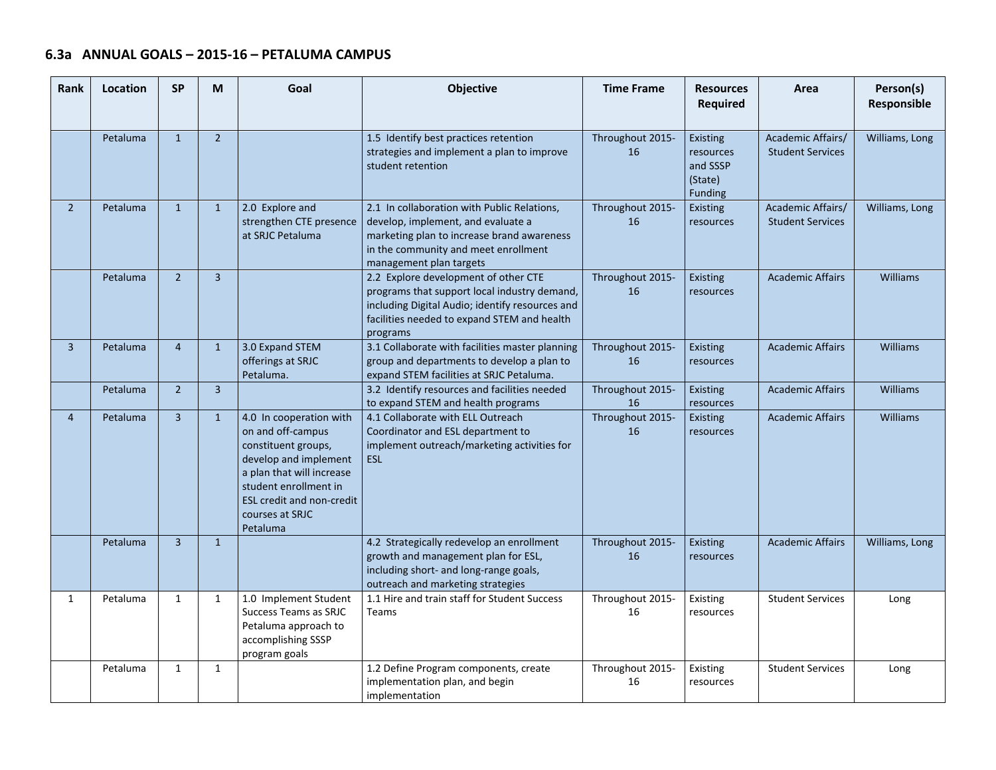| Rank           | Location | <b>SP</b>      | M              | Goal                                                                                                                                                                                                                  | Objective                                                                                                                                                                                          | <b>Time Frame</b>      | <b>Resources</b><br><b>Required</b>                            | Area                                         | Person(s)<br>Responsible |
|----------------|----------|----------------|----------------|-----------------------------------------------------------------------------------------------------------------------------------------------------------------------------------------------------------------------|----------------------------------------------------------------------------------------------------------------------------------------------------------------------------------------------------|------------------------|----------------------------------------------------------------|----------------------------------------------|--------------------------|
|                | Petaluma | $\mathbf{1}$   | $\overline{2}$ |                                                                                                                                                                                                                       | 1.5 Identify best practices retention<br>strategies and implement a plan to improve<br>student retention                                                                                           | Throughout 2015-<br>16 | <b>Existing</b><br>resources<br>and SSSP<br>(State)<br>Funding | Academic Affairs/<br><b>Student Services</b> | Williams, Long           |
| $\overline{2}$ | Petaluma | $\mathbf{1}$   | $\mathbf{1}$   | 2.0 Explore and<br>strengthen CTE presence<br>at SRJC Petaluma                                                                                                                                                        | 2.1 In collaboration with Public Relations,<br>develop, implement, and evaluate a<br>marketing plan to increase brand awareness<br>in the community and meet enrollment<br>management plan targets | Throughout 2015-<br>16 | <b>Existing</b><br>resources                                   | Academic Affairs/<br><b>Student Services</b> | Williams, Long           |
|                | Petaluma | $\overline{2}$ | $\overline{3}$ |                                                                                                                                                                                                                       | 2.2 Explore development of other CTE<br>programs that support local industry demand,<br>including Digital Audio; identify resources and<br>facilities needed to expand STEM and health<br>programs | Throughout 2015-<br>16 | Existing<br>resources                                          | <b>Academic Affairs</b>                      | <b>Williams</b>          |
| $\overline{3}$ | Petaluma | $\overline{4}$ | $\mathbf{1}$   | 3.0 Expand STEM<br>offerings at SRJC<br>Petaluma.                                                                                                                                                                     | 3.1 Collaborate with facilities master planning<br>group and departments to develop a plan to<br>expand STEM facilities at SRJC Petaluma.                                                          | Throughout 2015-<br>16 | <b>Existing</b><br>resources                                   | <b>Academic Affairs</b>                      | <b>Williams</b>          |
|                | Petaluma | $\overline{2}$ | $\overline{3}$ |                                                                                                                                                                                                                       | 3.2 Identify resources and facilities needed<br>to expand STEM and health programs                                                                                                                 | Throughout 2015-<br>16 | <b>Existing</b><br>resources                                   | <b>Academic Affairs</b>                      | <b>Williams</b>          |
| $\overline{4}$ | Petaluma | $\overline{3}$ | $\mathbf{1}$   | 4.0 In cooperation with<br>on and off-campus<br>constituent groups,<br>develop and implement<br>a plan that will increase<br>student enrollment in<br><b>ESL credit and non-credit</b><br>courses at SRJC<br>Petaluma | 4.1 Collaborate with ELL Outreach<br>Coordinator and ESL department to<br>implement outreach/marketing activities for<br><b>ESL</b>                                                                | Throughout 2015-<br>16 | <b>Existing</b><br>resources                                   | <b>Academic Affairs</b>                      | <b>Williams</b>          |
|                | Petaluma | $\overline{3}$ | $\mathbf{1}$   |                                                                                                                                                                                                                       | 4.2 Strategically redevelop an enrollment<br>growth and management plan for ESL,<br>including short- and long-range goals,<br>outreach and marketing strategies                                    | Throughout 2015-<br>16 | <b>Existing</b><br>resources                                   | <b>Academic Affairs</b>                      | Williams, Long           |
| $\mathbf{1}$   | Petaluma | 1              | $\mathbf{1}$   | 1.0 Implement Student<br>Success Teams as SRJC<br>Petaluma approach to<br>accomplishing SSSP<br>program goals                                                                                                         | 1.1 Hire and train staff for Student Success<br><b>Teams</b>                                                                                                                                       | Throughout 2015-<br>16 | Existing<br>resources                                          | <b>Student Services</b>                      | Long                     |
|                | Petaluma | $\mathbf{1}$   | $\mathbf{1}$   |                                                                                                                                                                                                                       | 1.2 Define Program components, create<br>implementation plan, and begin<br>implementation                                                                                                          | Throughout 2015-<br>16 | Existing<br>resources                                          | <b>Student Services</b>                      | Long                     |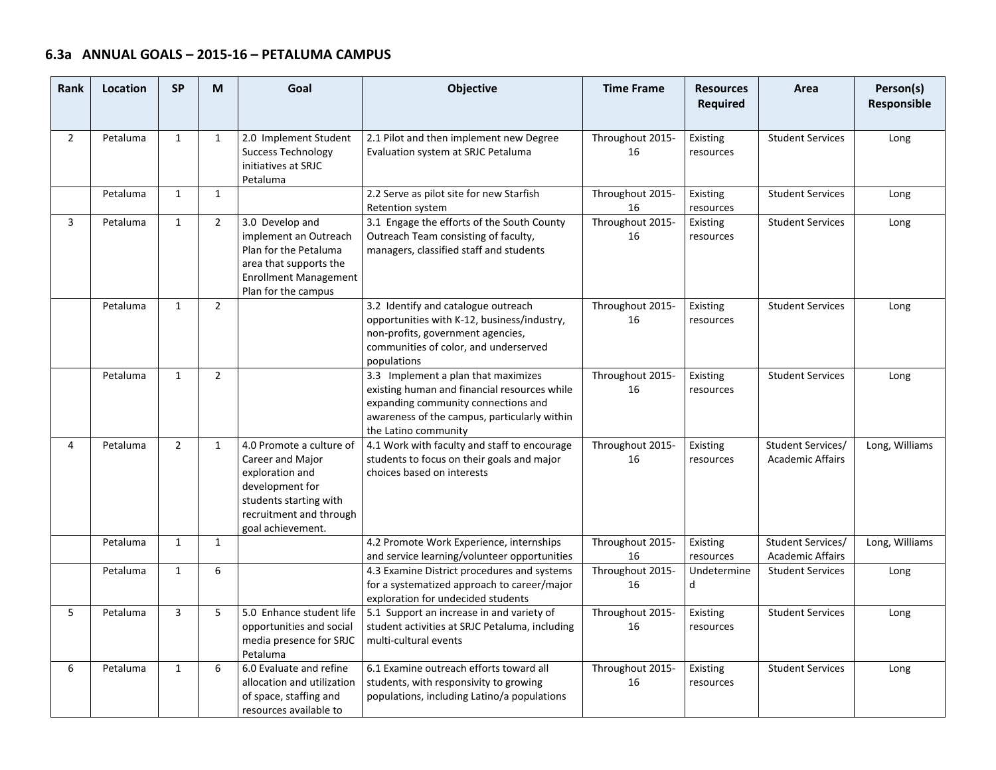| <b>Rank</b>    | Location | <b>SP</b>      | M              | Goal                                                                                                                                                         | Objective                                                                                                                                                                                          | <b>Time Frame</b>      | <b>Resources</b><br><b>Required</b> | Area                                         | Person(s)<br>Responsible |
|----------------|----------|----------------|----------------|--------------------------------------------------------------------------------------------------------------------------------------------------------------|----------------------------------------------------------------------------------------------------------------------------------------------------------------------------------------------------|------------------------|-------------------------------------|----------------------------------------------|--------------------------|
| $\overline{2}$ | Petaluma | $\mathbf{1}$   | $\mathbf{1}$   | 2.0 Implement Student<br><b>Success Technology</b><br>initiatives at SRJC<br>Petaluma                                                                        | 2.1 Pilot and then implement new Degree<br>Evaluation system at SRJC Petaluma                                                                                                                      | Throughout 2015-<br>16 | Existing<br>resources               | <b>Student Services</b>                      | Long                     |
|                | Petaluma | $\mathbf{1}$   | $\mathbf{1}$   |                                                                                                                                                              | 2.2 Serve as pilot site for new Starfish<br>Retention system                                                                                                                                       | Throughout 2015-<br>16 | Existing<br>resources               | <b>Student Services</b>                      | Long                     |
| $\overline{3}$ | Petaluma | $\mathbf{1}$   | $\overline{2}$ | 3.0 Develop and<br>implement an Outreach<br>Plan for the Petaluma<br>area that supports the<br><b>Enrollment Management</b><br>Plan for the campus           | 3.1 Engage the efforts of the South County<br>Outreach Team consisting of faculty,<br>managers, classified staff and students                                                                      | Throughout 2015-<br>16 | Existing<br>resources               | <b>Student Services</b>                      | Long                     |
|                | Petaluma | $\mathbf{1}$   | $\overline{2}$ |                                                                                                                                                              | 3.2 Identify and catalogue outreach<br>opportunities with K-12, business/industry,<br>non-profits, government agencies,<br>communities of color, and underserved<br>populations                    | Throughout 2015-<br>16 | Existing<br>resources               | <b>Student Services</b>                      | Long                     |
|                | Petaluma | $\mathbf{1}$   | $\overline{2}$ |                                                                                                                                                              | 3.3 Implement a plan that maximizes<br>existing human and financial resources while<br>expanding community connections and<br>awareness of the campus, particularly within<br>the Latino community | Throughout 2015-<br>16 | Existing<br>resources               | <b>Student Services</b>                      | Long                     |
| 4              | Petaluma | $\overline{2}$ | $\mathbf{1}$   | 4.0 Promote a culture of<br>Career and Major<br>exploration and<br>development for<br>students starting with<br>recruitment and through<br>goal achievement. | 4.1 Work with faculty and staff to encourage<br>students to focus on their goals and major<br>choices based on interests                                                                           | Throughout 2015-<br>16 | Existing<br>resources               | Student Services/<br><b>Academic Affairs</b> | Long, Williams           |
|                | Petaluma | $\mathbf{1}$   | $\mathbf{1}$   |                                                                                                                                                              | 4.2 Promote Work Experience, internships<br>and service learning/volunteer opportunities                                                                                                           | Throughout 2015-<br>16 | Existing<br>resources               | Student Services/<br><b>Academic Affairs</b> | Long, Williams           |
|                | Petaluma | $\mathbf{1}$   | 6              |                                                                                                                                                              | 4.3 Examine District procedures and systems<br>for a systematized approach to career/major<br>exploration for undecided students                                                                   | Throughout 2015-<br>16 | Undetermine<br>d                    | <b>Student Services</b>                      | Long                     |
| 5              | Petaluma | $\overline{3}$ | 5              | 5.0 Enhance student life<br>opportunities and social<br>media presence for SRJC<br>Petaluma                                                                  | 5.1 Support an increase in and variety of<br>student activities at SRJC Petaluma, including<br>multi-cultural events                                                                               | Throughout 2015-<br>16 | Existing<br>resources               | <b>Student Services</b>                      | Long                     |
| 6              | Petaluma | $\mathbf{1}$   | 6              | 6.0 Evaluate and refine<br>allocation and utilization<br>of space, staffing and<br>resources available to                                                    | 6.1 Examine outreach efforts toward all<br>students, with responsivity to growing<br>populations, including Latino/a populations                                                                   | Throughout 2015-<br>16 | Existing<br>resources               | <b>Student Services</b>                      | Long                     |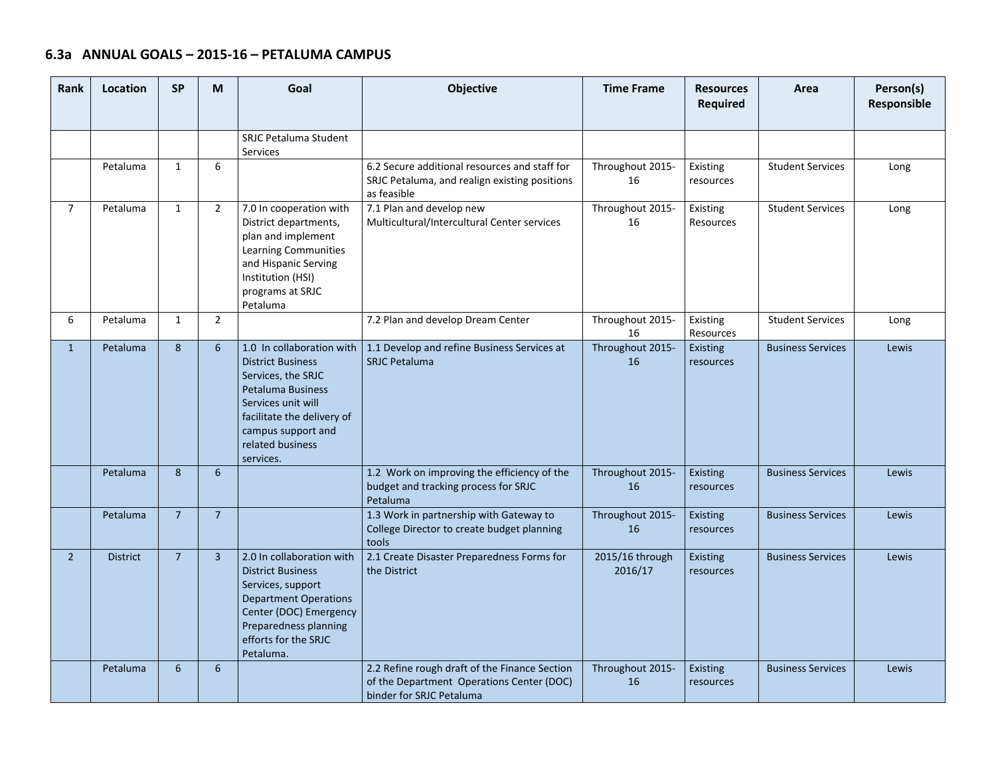| Rank           | Location        | <b>SP</b>      | M                | Goal                                                                                                                                                                                                               | Objective                                                                                                              | <b>Time Frame</b>          | <b>Resources</b><br>Required | Area                     | Person(s)<br>Responsible |
|----------------|-----------------|----------------|------------------|--------------------------------------------------------------------------------------------------------------------------------------------------------------------------------------------------------------------|------------------------------------------------------------------------------------------------------------------------|----------------------------|------------------------------|--------------------------|--------------------------|
|                |                 |                |                  | <b>SRJC Petaluma Student</b><br><b>Services</b>                                                                                                                                                                    |                                                                                                                        |                            |                              |                          |                          |
|                | Petaluma        | $\mathbf{1}$   | 6                |                                                                                                                                                                                                                    | 6.2 Secure additional resources and staff for<br>SRJC Petaluma, and realign existing positions<br>as feasible          | Throughout 2015-<br>16     | Existing<br>resources        | <b>Student Services</b>  | Long                     |
| $\overline{7}$ | Petaluma        | $\mathbf{1}$   | $\overline{2}$   | 7.0 In cooperation with<br>District departments,<br>plan and implement<br><b>Learning Communities</b><br>and Hispanic Serving<br>Institution (HSI)<br>programs at SRJC<br>Petaluma                                 | 7.1 Plan and develop new<br>Multicultural/Intercultural Center services                                                | Throughout 2015-<br>16     | Existing<br>Resources        | <b>Student Services</b>  | Long                     |
| 6              | Petaluma        | $\mathbf{1}$   | $\overline{2}$   |                                                                                                                                                                                                                    | 7.2 Plan and develop Dream Center                                                                                      | Throughout 2015-<br>16     | Existing<br>Resources        | <b>Student Services</b>  | Long                     |
| $\mathbf{1}$   | Petaluma        | $\bf 8$        | 6                | 1.0 In collaboration with<br><b>District Business</b><br>Services, the SRJC<br><b>Petaluma Business</b><br>Services unit will<br>facilitate the delivery of<br>campus support and<br>related business<br>services. | 1.1 Develop and refine Business Services at<br><b>SRJC Petaluma</b>                                                    | Throughout 2015-<br>16     | <b>Existing</b><br>resources | <b>Business Services</b> | Lewis                    |
|                | Petaluma        | 8              | 6                |                                                                                                                                                                                                                    | 1.2 Work on improving the efficiency of the<br>budget and tracking process for SRJC<br>Petaluma                        | Throughout 2015-<br>16     | Existing<br>resources        | <b>Business Services</b> | Lewis                    |
|                | Petaluma        | $\overline{7}$ | $\overline{7}$   |                                                                                                                                                                                                                    | 1.3 Work in partnership with Gateway to<br>College Director to create budget planning<br>tools                         | Throughout 2015-<br>16     | <b>Existing</b><br>resources | <b>Business Services</b> | Lewis                    |
| $\overline{2}$ | <b>District</b> | $\overline{7}$ | $\overline{3}$   | 2.0 In collaboration with<br><b>District Business</b><br>Services, support<br><b>Department Operations</b><br>Center (DOC) Emergency<br>Preparedness planning<br>efforts for the SRJC<br>Petaluma.                 | 2.1 Create Disaster Preparedness Forms for<br>the District                                                             | 2015/16 through<br>2016/17 | Existing<br>resources        | <b>Business Services</b> | Lewis                    |
|                | Petaluma        | 6              | $6 \overline{6}$ |                                                                                                                                                                                                                    | 2.2 Refine rough draft of the Finance Section<br>of the Department Operations Center (DOC)<br>binder for SRJC Petaluma | Throughout 2015-<br>16     | Existing<br>resources        | <b>Business Services</b> | Lewis                    |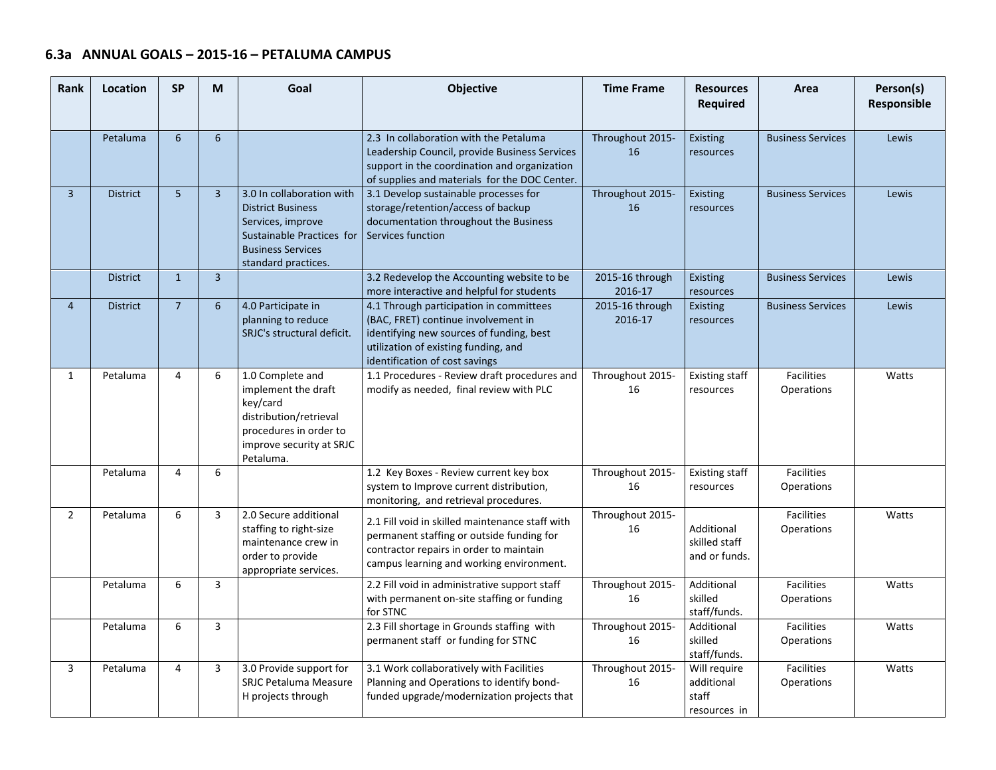| Rank           | Location        | <b>SP</b>       | M              | Goal                                                                                                                                                       | Objective                                                                                                                                                                                            | <b>Time Frame</b>          | <b>Resources</b><br><b>Required</b>                 | Area                            | Person(s)<br>Responsible |
|----------------|-----------------|-----------------|----------------|------------------------------------------------------------------------------------------------------------------------------------------------------------|------------------------------------------------------------------------------------------------------------------------------------------------------------------------------------------------------|----------------------------|-----------------------------------------------------|---------------------------------|--------------------------|
|                | Petaluma        | 6               | $6\phantom{1}$ |                                                                                                                                                            | 2.3 In collaboration with the Petaluma<br>Leadership Council, provide Business Services<br>support in the coordination and organization<br>of supplies and materials for the DOC Center.             | Throughout 2015-<br>16     | Existing<br>resources                               | <b>Business Services</b>        | Lewis                    |
| $\overline{3}$ | <b>District</b> | $5\overline{5}$ | $\overline{3}$ | 3.0 In collaboration with<br><b>District Business</b><br>Services, improve<br>Sustainable Practices for<br><b>Business Services</b><br>standard practices. | 3.1 Develop sustainable processes for<br>storage/retention/access of backup<br>documentation throughout the Business<br>Services function                                                            | Throughout 2015-<br>16     | Existing<br>resources                               | <b>Business Services</b>        | Lewis                    |
|                | <b>District</b> | $\mathbf{1}$    | $\overline{3}$ |                                                                                                                                                            | 3.2 Redevelop the Accounting website to be<br>more interactive and helpful for students                                                                                                              | 2015-16 through<br>2016-17 | Existing<br>resources                               | <b>Business Services</b>        | Lewis                    |
| $\overline{4}$ | <b>District</b> | $\overline{7}$  | $6\phantom{1}$ | 4.0 Participate in<br>planning to reduce<br>SRJC's structural deficit.                                                                                     | 4.1 Through participation in committees<br>(BAC, FRET) continue involvement in<br>identifying new sources of funding, best<br>utilization of existing funding, and<br>identification of cost savings | 2015-16 through<br>2016-17 | Existing<br>resources                               | <b>Business Services</b>        | Lewis                    |
| $\mathbf{1}$   | Petaluma        | $\overline{4}$  | 6              | 1.0 Complete and<br>implement the draft<br>key/card<br>distribution/retrieval<br>procedures in order to<br>improve security at SRJC<br>Petaluma.           | 1.1 Procedures - Review draft procedures and<br>modify as needed, final review with PLC                                                                                                              | Throughout 2015-<br>16     | <b>Existing staff</b><br>resources                  | <b>Facilities</b><br>Operations | Watts                    |
|                | Petaluma        | $\overline{4}$  | 6              |                                                                                                                                                            | 1.2 Key Boxes - Review current key box<br>system to Improve current distribution,<br>monitoring, and retrieval procedures.                                                                           | Throughout 2015-<br>16     | <b>Existing staff</b><br>resources                  | Facilities<br>Operations        |                          |
| $\overline{2}$ | Petaluma        | 6               | 3              | 2.0 Secure additional<br>staffing to right-size<br>maintenance crew in<br>order to provide<br>appropriate services.                                        | 2.1 Fill void in skilled maintenance staff with<br>permanent staffing or outside funding for<br>contractor repairs in order to maintain<br>campus learning and working environment.                  | Throughout 2015-<br>16     | Additional<br>skilled staff<br>and or funds.        | <b>Facilities</b><br>Operations | Watts                    |
|                | Petaluma        | 6               | $\overline{3}$ |                                                                                                                                                            | 2.2 Fill void in administrative support staff<br>with permanent on-site staffing or funding<br>for STNC                                                                                              | Throughout 2015-<br>16     | Additional<br>skilled<br>staff/funds.               | <b>Facilities</b><br>Operations | Watts                    |
|                | Petaluma        | 6               | 3              |                                                                                                                                                            | 2.3 Fill shortage in Grounds staffing with<br>permanent staff or funding for STNC                                                                                                                    | Throughout 2015-<br>16     | Additional<br>skilled<br>staff/funds.               | <b>Facilities</b><br>Operations | Watts                    |
| 3              | Petaluma        | $\overline{4}$  | $\overline{3}$ | 3.0 Provide support for<br><b>SRJC Petaluma Measure</b><br>H projects through                                                                              | 3.1 Work collaboratively with Facilities<br>Planning and Operations to identify bond-<br>funded upgrade/modernization projects that                                                                  | Throughout 2015-<br>16     | Will require<br>additional<br>staff<br>resources in | <b>Facilities</b><br>Operations | Watts                    |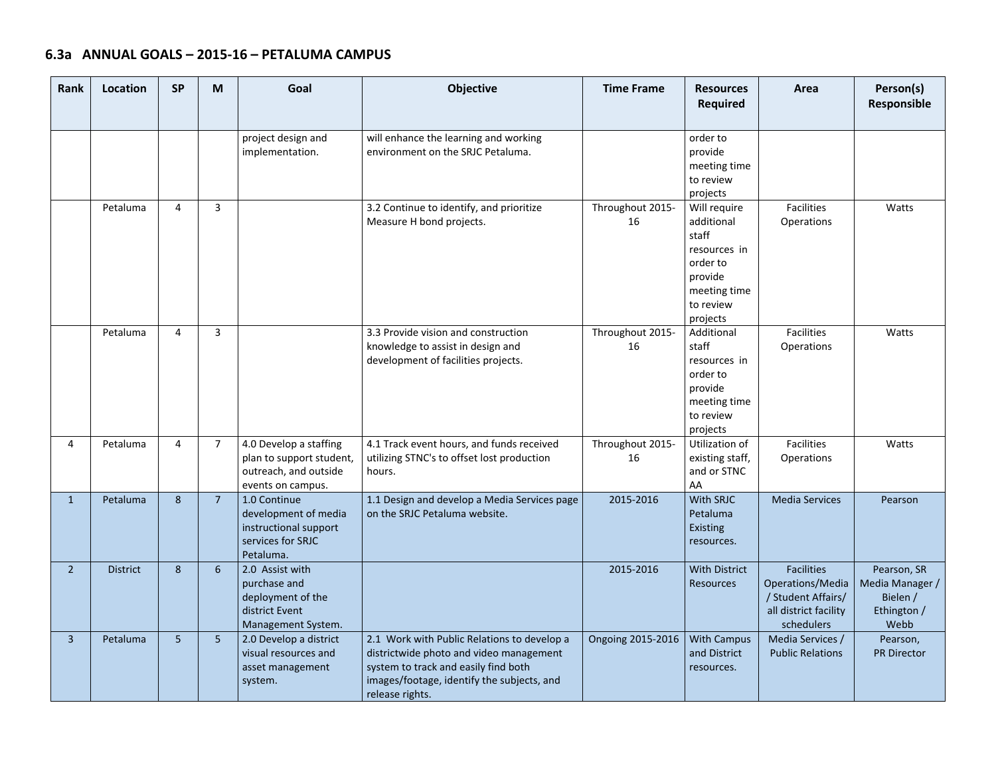| Rank           | Location        | <b>SP</b>       | M              | Goal                                                                                             | Objective                                                                                                                                                                                       | <b>Time Frame</b>      | <b>Resources</b><br><b>Required</b>                                                                                 | Area                                                                                               | Person(s)<br>Responsible                                          |
|----------------|-----------------|-----------------|----------------|--------------------------------------------------------------------------------------------------|-------------------------------------------------------------------------------------------------------------------------------------------------------------------------------------------------|------------------------|---------------------------------------------------------------------------------------------------------------------|----------------------------------------------------------------------------------------------------|-------------------------------------------------------------------|
|                |                 |                 |                | project design and<br>implementation.                                                            | will enhance the learning and working<br>environment on the SRJC Petaluma.                                                                                                                      |                        | order to<br>provide<br>meeting time<br>to review<br>projects                                                        |                                                                                                    |                                                                   |
|                | Petaluma        | $\overline{4}$  | 3              |                                                                                                  | 3.2 Continue to identify, and prioritize<br>Measure H bond projects.                                                                                                                            | Throughout 2015-<br>16 | Will require<br>additional<br>staff<br>resources in<br>order to<br>provide<br>meeting time<br>to review<br>projects | <b>Facilities</b><br>Operations                                                                    | Watts                                                             |
|                | Petaluma        | $\overline{4}$  | 3              |                                                                                                  | 3.3 Provide vision and construction<br>knowledge to assist in design and<br>development of facilities projects.                                                                                 | Throughout 2015-<br>16 | Additional<br>staff<br>resources in<br>order to<br>provide<br>meeting time<br>to review<br>projects                 | <b>Facilities</b><br><b>Operations</b>                                                             | Watts                                                             |
| 4              | Petaluma        | $\overline{4}$  | $\overline{7}$ | 4.0 Develop a staffing<br>plan to support student,<br>outreach, and outside<br>events on campus. | 4.1 Track event hours, and funds received<br>utilizing STNC's to offset lost production<br>hours.                                                                                               | Throughout 2015-<br>16 | Utilization of<br>existing staff,<br>and or STNC<br>AA                                                              | Facilities<br>Operations                                                                           | Watts                                                             |
| $\mathbf{1}$   | Petaluma        | $\bf 8$         | 7 <sup>7</sup> | 1.0 Continue<br>development of media<br>instructional support<br>services for SRJC<br>Petaluma.  | 1.1 Design and develop a Media Services page<br>on the SRJC Petaluma website.                                                                                                                   | 2015-2016              | <b>With SRJC</b><br>Petaluma<br><b>Existing</b><br>resources.                                                       | <b>Media Services</b>                                                                              | Pearson                                                           |
| $2^{\circ}$    | <b>District</b> | $\bf 8$         | 6              | 2.0 Assist with<br>purchase and<br>deployment of the<br>district Event<br>Management System.     |                                                                                                                                                                                                 | 2015-2016              | <b>With District</b><br>Resources                                                                                   | <b>Facilities</b><br>Operations/Media<br>/ Student Affairs/<br>all district facility<br>schedulers | Pearson, SR<br>Media Manager /<br>Bielen /<br>Ethington /<br>Webb |
| $\overline{3}$ | Petaluma        | $5\phantom{.0}$ | 5 <sub>5</sub> | 2.0 Develop a district<br>visual resources and<br>asset management<br>system.                    | 2.1 Work with Public Relations to develop a<br>districtwide photo and video management<br>system to track and easily find both<br>images/footage, identify the subjects, and<br>release rights. | Ongoing 2015-2016      | <b>With Campus</b><br>and District<br>resources.                                                                    | Media Services /<br><b>Public Relations</b>                                                        | Pearson,<br><b>PR Director</b>                                    |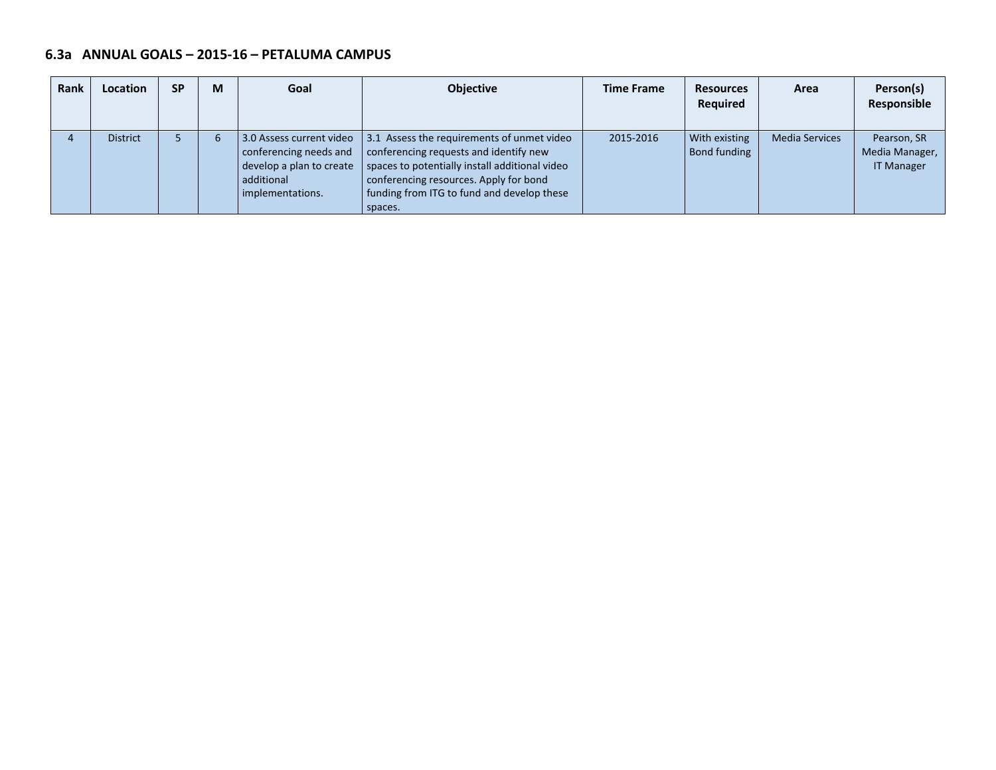| <b>Rank</b> | Location        | <b>SP</b> | М | Goal                                                       | <b>Objective</b>                                                                                                                                                                                                                                                                                          | <b>Time Frame</b> | <b>Resources</b><br><b>Required</b>  | Area                  | Person(s)<br>Responsible                           |
|-------------|-----------------|-----------|---|------------------------------------------------------------|-----------------------------------------------------------------------------------------------------------------------------------------------------------------------------------------------------------------------------------------------------------------------------------------------------------|-------------------|--------------------------------------|-----------------------|----------------------------------------------------|
|             | <b>District</b> |           | 6 | develop a plan to create<br>additional<br>implementations. | 3.0 Assess current video 3.1 Assess the requirements of unmet video<br>$\vert$ conferencing needs and $\vert$ conferencing requests and identify new<br>spaces to potentially install additional video<br>conferencing resources. Apply for bond<br>funding from ITG to fund and develop these<br>spaces. | 2015-2016         | <b>With existing</b><br>Bond funding | <b>Media Services</b> | Pearson, SR<br>Media Manager,<br><b>IT Manager</b> |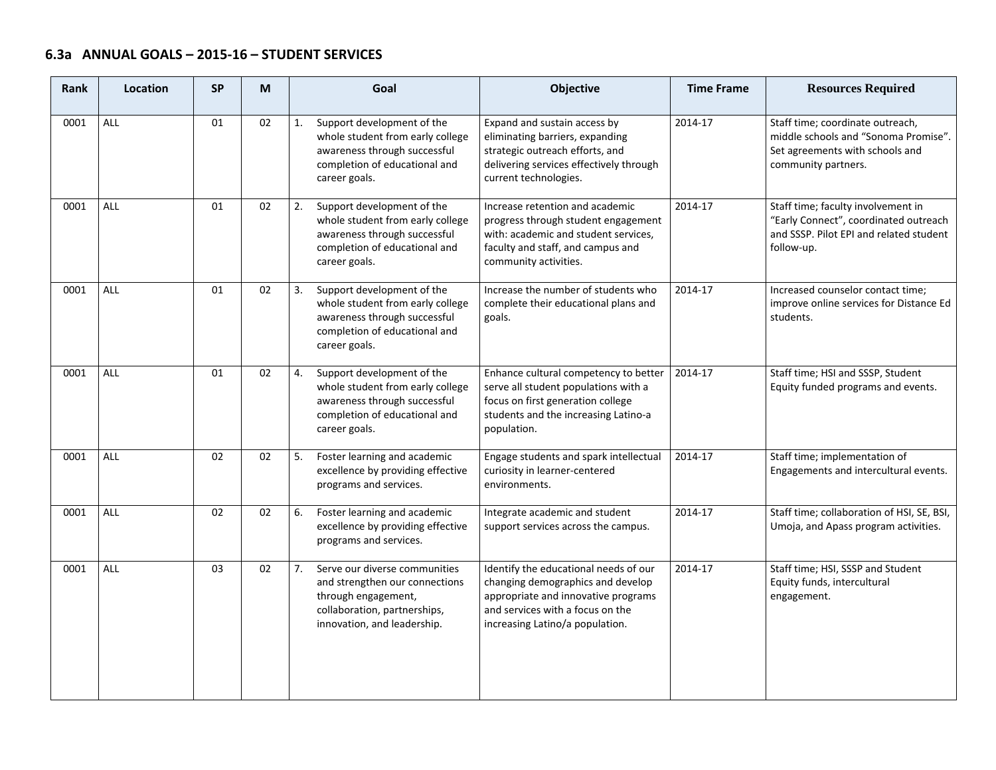## **6.3a ANNUAL GOALS – 2015‐16 – STUDENT SERVICES**

| Rank | <b>Location</b> | <b>SP</b> | M  | Goal                                                                                                                                                        | Objective                                                                                                                                                                                | <b>Time Frame</b> | <b>Resources Required</b>                                                                                                            |
|------|-----------------|-----------|----|-------------------------------------------------------------------------------------------------------------------------------------------------------------|------------------------------------------------------------------------------------------------------------------------------------------------------------------------------------------|-------------------|--------------------------------------------------------------------------------------------------------------------------------------|
| 0001 | <b>ALL</b>      | 01        | 02 | Support development of the<br>1.<br>whole student from early college<br>awareness through successful<br>completion of educational and<br>career goals.      | Expand and sustain access by<br>eliminating barriers, expanding<br>strategic outreach efforts, and<br>delivering services effectively through<br>current technologies.                   | 2014-17           | Staff time; coordinate outreach,<br>middle schools and "Sonoma Promise".<br>Set agreements with schools and<br>community partners.   |
| 0001 | ALL             | 01        | 02 | Support development of the<br>2.<br>whole student from early college<br>awareness through successful<br>completion of educational and<br>career goals.      | Increase retention and academic<br>progress through student engagement<br>with: academic and student services,<br>faculty and staff, and campus and<br>community activities.             | 2014-17           | Staff time; faculty involvement in<br>"Early Connect", coordinated outreach<br>and SSSP. Pilot EPI and related student<br>follow-up. |
| 0001 | <b>ALL</b>      | 01        | 02 | Support development of the<br>3.<br>whole student from early college<br>awareness through successful<br>completion of educational and<br>career goals.      | Increase the number of students who<br>complete their educational plans and<br>goals.                                                                                                    | 2014-17           | Increased counselor contact time;<br>improve online services for Distance Ed<br>students.                                            |
| 0001 | <b>ALL</b>      | 01        | 02 | Support development of the<br>4.<br>whole student from early college<br>awareness through successful<br>completion of educational and<br>career goals.      | Enhance cultural competency to better<br>serve all student populations with a<br>focus on first generation college<br>students and the increasing Latino-a<br>population.                | 2014-17           | Staff time; HSI and SSSP, Student<br>Equity funded programs and events.                                                              |
| 0001 | <b>ALL</b>      | 02        | 02 | 5.<br>Foster learning and academic<br>excellence by providing effective<br>programs and services.                                                           | Engage students and spark intellectual<br>curiosity in learner-centered<br>environments.                                                                                                 | 2014-17           | Staff time; implementation of<br>Engagements and intercultural events.                                                               |
| 0001 | <b>ALL</b>      | 02        | 02 | Foster learning and academic<br>6.<br>excellence by providing effective<br>programs and services.                                                           | Integrate academic and student<br>support services across the campus.                                                                                                                    | 2014-17           | Staff time; collaboration of HSI, SE, BSI,<br>Umoja, and Apass program activities.                                                   |
| 0001 | <b>ALL</b>      | 03        | 02 | 7.<br>Serve our diverse communities<br>and strengthen our connections<br>through engagement,<br>collaboration, partnerships,<br>innovation, and leadership. | Identify the educational needs of our<br>changing demographics and develop<br>appropriate and innovative programs<br>and services with a focus on the<br>increasing Latino/a population. | 2014-17           | Staff time; HSI, SSSP and Student<br>Equity funds, intercultural<br>engagement.                                                      |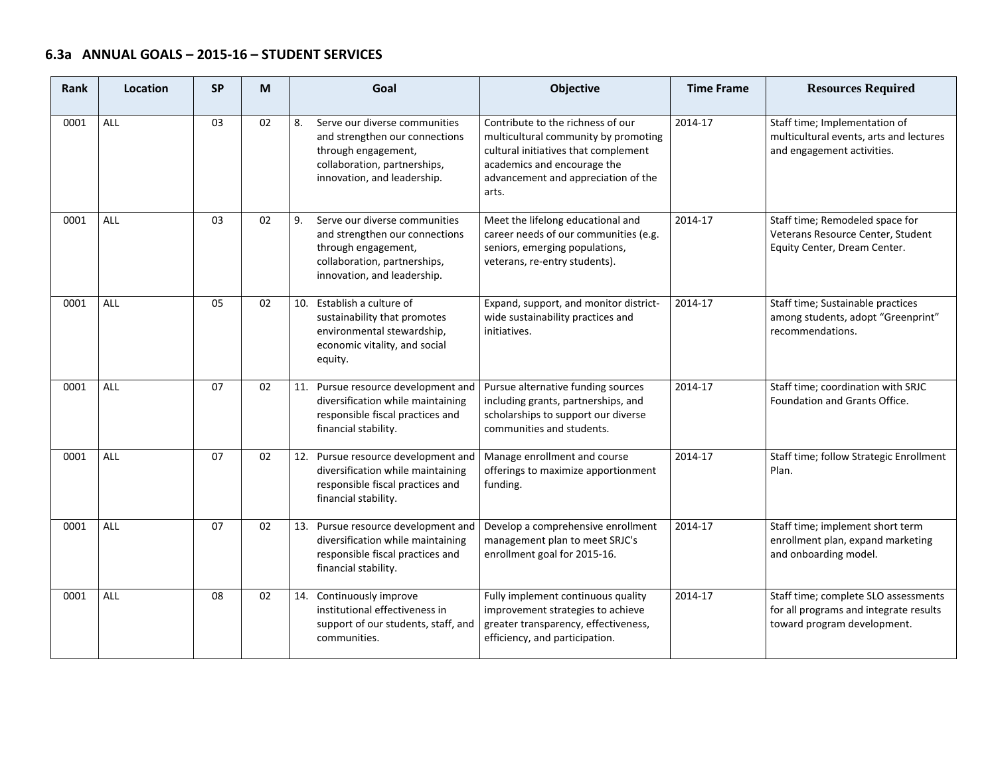## **6.3a ANNUAL GOALS – 2015‐16 – STUDENT SERVICES**

| Rank | Location   | <b>SP</b> | M  | Goal                                                                                                                                                        | <b>Objective</b>                                                                                                                                                                                 | <b>Time Frame</b> | <b>Resources Required</b>                                                                                     |
|------|------------|-----------|----|-------------------------------------------------------------------------------------------------------------------------------------------------------------|--------------------------------------------------------------------------------------------------------------------------------------------------------------------------------------------------|-------------------|---------------------------------------------------------------------------------------------------------------|
| 0001 | <b>ALL</b> | 03        | 02 | Serve our diverse communities<br>8.<br>and strengthen our connections<br>through engagement,<br>collaboration, partnerships,<br>innovation, and leadership. | Contribute to the richness of our<br>multicultural community by promoting<br>cultural initiatives that complement<br>academics and encourage the<br>advancement and appreciation of the<br>arts. | 2014-17           | Staff time; Implementation of<br>multicultural events, arts and lectures<br>and engagement activities.        |
| 0001 | <b>ALL</b> | 03        | 02 | 9.<br>Serve our diverse communities<br>and strengthen our connections<br>through engagement,<br>collaboration, partnerships,<br>innovation, and leadership. | Meet the lifelong educational and<br>career needs of our communities (e.g.<br>seniors, emerging populations,<br>veterans, re-entry students).                                                    | 2014-17           | Staff time; Remodeled space for<br>Veterans Resource Center, Student<br>Equity Center, Dream Center.          |
| 0001 | <b>ALL</b> | 05        | 02 | 10. Establish a culture of<br>sustainability that promotes<br>environmental stewardship,<br>economic vitality, and social<br>equity.                        | Expand, support, and monitor district-<br>wide sustainability practices and<br>initiatives.                                                                                                      | 2014-17           | Staff time; Sustainable practices<br>among students, adopt "Greenprint"<br>recommendations.                   |
| 0001 | <b>ALL</b> | 07        | 02 | 11. Pursue resource development and<br>diversification while maintaining<br>responsible fiscal practices and<br>financial stability.                        | Pursue alternative funding sources<br>including grants, partnerships, and<br>scholarships to support our diverse<br>communities and students.                                                    | 2014-17           | Staff time; coordination with SRJC<br>Foundation and Grants Office.                                           |
| 0001 | <b>ALL</b> | 07        | 02 | 12. Pursue resource development and<br>diversification while maintaining<br>responsible fiscal practices and<br>financial stability.                        | Manage enrollment and course<br>offerings to maximize apportionment<br>funding.                                                                                                                  | 2014-17           | Staff time; follow Strategic Enrollment<br>Plan.                                                              |
| 0001 | <b>ALL</b> | 07        | 02 | 13. Pursue resource development and<br>diversification while maintaining<br>responsible fiscal practices and<br>financial stability.                        | Develop a comprehensive enrollment<br>management plan to meet SRJC's<br>enrollment goal for 2015-16.                                                                                             | 2014-17           | Staff time; implement short term<br>enrollment plan, expand marketing<br>and onboarding model.                |
| 0001 | <b>ALL</b> | 08        | 02 | 14. Continuously improve<br>institutional effectiveness in<br>support of our students, staff, and<br>communities.                                           | Fully implement continuous quality<br>improvement strategies to achieve<br>greater transparency, effectiveness,<br>efficiency, and participation.                                                | 2014-17           | Staff time; complete SLO assessments<br>for all programs and integrate results<br>toward program development. |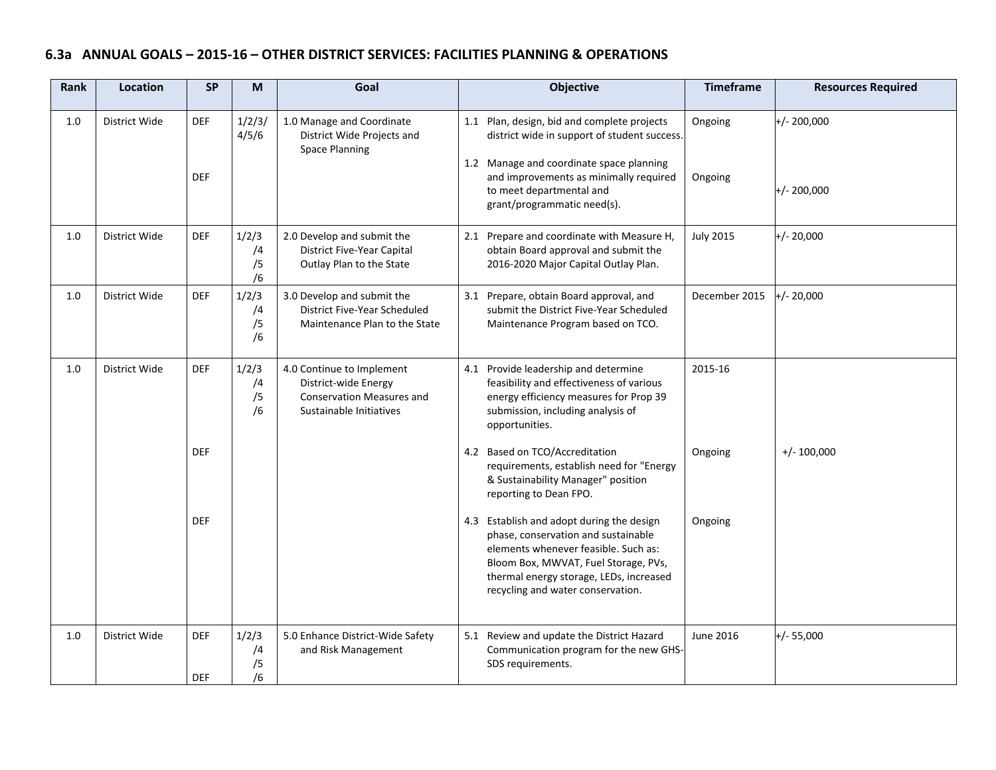# **6.3a ANNUAL GOALS – 2015‐16 – OTHER DISTRICT SERVICES: FACILITIES PLANNING & OPERATIONS**

| Rank    | Location      | <b>SP</b>                | M                       | Goal                                                                                                             | <b>Objective</b>                                                                                                                                                                                                                                 | <b>Timeframe</b>   | <b>Resources Required</b>      |
|---------|---------------|--------------------------|-------------------------|------------------------------------------------------------------------------------------------------------------|--------------------------------------------------------------------------------------------------------------------------------------------------------------------------------------------------------------------------------------------------|--------------------|--------------------------------|
| 1.0     | District Wide | <b>DEF</b><br><b>DEF</b> | 1/2/3/<br>4/5/6         | 1.0 Manage and Coordinate<br>District Wide Projects and<br><b>Space Planning</b>                                 | 1.1 Plan, design, bid and complete projects<br>district wide in support of student success.<br>1.2 Manage and coordinate space planning<br>and improvements as minimally required<br>to meet departmental and<br>grant/programmatic need(s).     | Ongoing<br>Ongoing | $+/- 200,000$<br>$+/- 200,000$ |
| 1.0     | District Wide | <b>DEF</b>               | 1/2/3<br>/4<br>/5<br>/6 | 2.0 Develop and submit the<br>District Five-Year Capital<br>Outlay Plan to the State                             | 2.1 Prepare and coordinate with Measure H,<br>obtain Board approval and submit the<br>2016-2020 Major Capital Outlay Plan.                                                                                                                       | <b>July 2015</b>   | $+/- 20,000$                   |
| $1.0\,$ | District Wide | <b>DEF</b>               | 1/2/3<br>/4<br>/5<br>/6 | 3.0 Develop and submit the<br>District Five-Year Scheduled<br>Maintenance Plan to the State                      | 3.1 Prepare, obtain Board approval, and<br>submit the District Five-Year Scheduled<br>Maintenance Program based on TCO.                                                                                                                          | December 2015      | $+/- 20,000$                   |
| 1.0     | District Wide | <b>DEF</b>               | 1/2/3<br>/4<br>/5<br>/6 | 4.0 Continue to Implement<br>District-wide Energy<br><b>Conservation Measures and</b><br>Sustainable Initiatives | 4.1 Provide leadership and determine<br>feasibility and effectiveness of various<br>energy efficiency measures for Prop 39<br>submission, including analysis of<br>opportunities.                                                                | 2015-16            |                                |
|         |               | <b>DEF</b>               |                         |                                                                                                                  | 4.2 Based on TCO/Accreditation<br>requirements, establish need for "Energy<br>& Sustainability Manager" position<br>reporting to Dean FPO.                                                                                                       | Ongoing            | $+/- 100,000$                  |
|         |               | <b>DEF</b>               |                         |                                                                                                                  | 4.3 Establish and adopt during the design<br>phase, conservation and sustainable<br>elements whenever feasible. Such as:<br>Bloom Box, MWVAT, Fuel Storage, PVs,<br>thermal energy storage, LEDs, increased<br>recycling and water conservation. | Ongoing            |                                |
| 1.0     | District Wide | <b>DEF</b><br><b>DEF</b> | 1/2/3<br>/4<br>/5<br>/6 | 5.0 Enhance District-Wide Safety<br>and Risk Management                                                          | 5.1 Review and update the District Hazard<br>Communication program for the new GHS-<br>SDS requirements.                                                                                                                                         | June 2016          | $+/- 55,000$                   |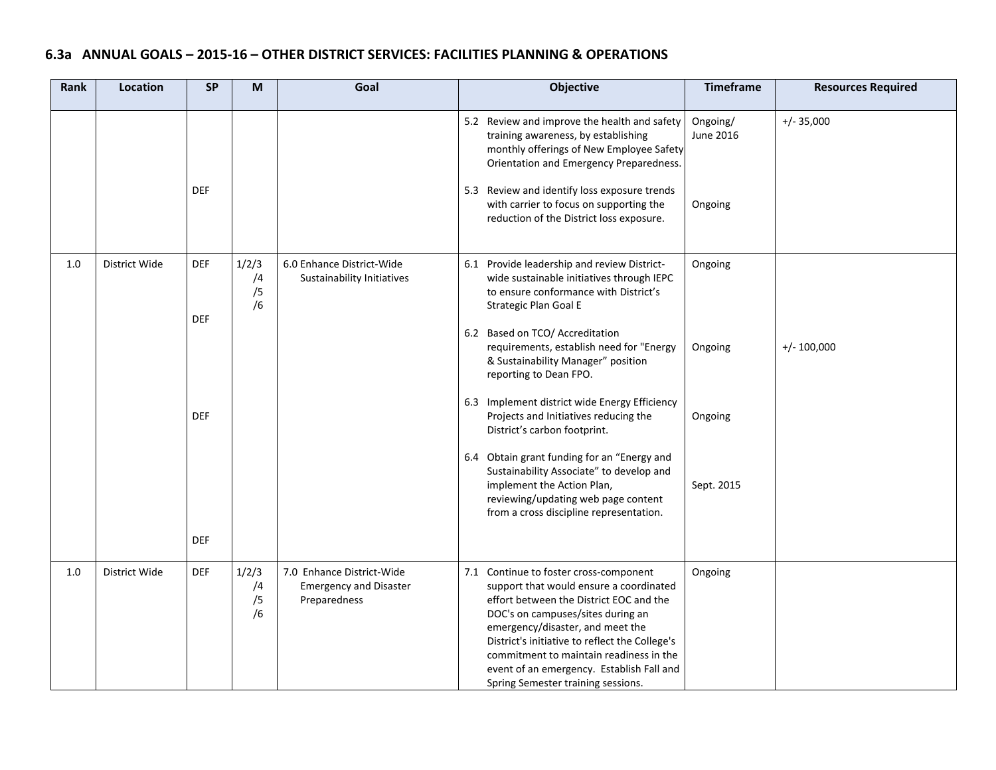# **6.3a ANNUAL GOALS – 2015‐16 – OTHER DISTRICT SERVICES: FACILITIES PLANNING & OPERATIONS**

| Rank | <b>Location</b> | <b>SP</b>                | M                       | Goal                                                                       | Objective                                                                                                                                                                                                                                                                                                                                                                             | <b>Timeframe</b>                 | <b>Resources Required</b> |
|------|-----------------|--------------------------|-------------------------|----------------------------------------------------------------------------|---------------------------------------------------------------------------------------------------------------------------------------------------------------------------------------------------------------------------------------------------------------------------------------------------------------------------------------------------------------------------------------|----------------------------------|---------------------------|
|      |                 | <b>DEF</b>               |                         |                                                                            | 5.2 Review and improve the health and safety<br>training awareness, by establishing<br>monthly offerings of New Employee Safety<br>Orientation and Emergency Preparedness.<br>5.3 Review and identify loss exposure trends<br>with carrier to focus on supporting the<br>reduction of the District loss exposure.                                                                     | Ongoing/<br>June 2016<br>Ongoing | $+/- 35,000$              |
| 1.0  | District Wide   | <b>DEF</b><br><b>DEF</b> | 1/2/3<br>/4<br>/5<br>/6 | 6.0 Enhance District-Wide<br>Sustainability Initiatives                    | 6.1 Provide leadership and review District-<br>wide sustainable initiatives through IEPC<br>to ensure conformance with District's<br>Strategic Plan Goal E<br>6.2 Based on TCO/ Accreditation<br>requirements, establish need for "Energy<br>& Sustainability Manager" position<br>reporting to Dean FPO.                                                                             | Ongoing<br>Ongoing               | $+/- 100,000$             |
|      |                 | <b>DEF</b><br><b>DEF</b> |                         |                                                                            | 6.3 Implement district wide Energy Efficiency<br>Projects and Initiatives reducing the<br>District's carbon footprint.<br>6.4 Obtain grant funding for an "Energy and<br>Sustainability Associate" to develop and<br>implement the Action Plan,<br>reviewing/updating web page content<br>from a cross discipline representation.                                                     | Ongoing<br>Sept. 2015            |                           |
| 1.0  | District Wide   | <b>DEF</b>               | 1/2/3<br>/4<br>/5<br>/6 | 7.0 Enhance District-Wide<br><b>Emergency and Disaster</b><br>Preparedness | 7.1 Continue to foster cross-component<br>support that would ensure a coordinated<br>effort between the District EOC and the<br>DOC's on campuses/sites during an<br>emergency/disaster, and meet the<br>District's initiative to reflect the College's<br>commitment to maintain readiness in the<br>event of an emergency. Establish Fall and<br>Spring Semester training sessions. | Ongoing                          |                           |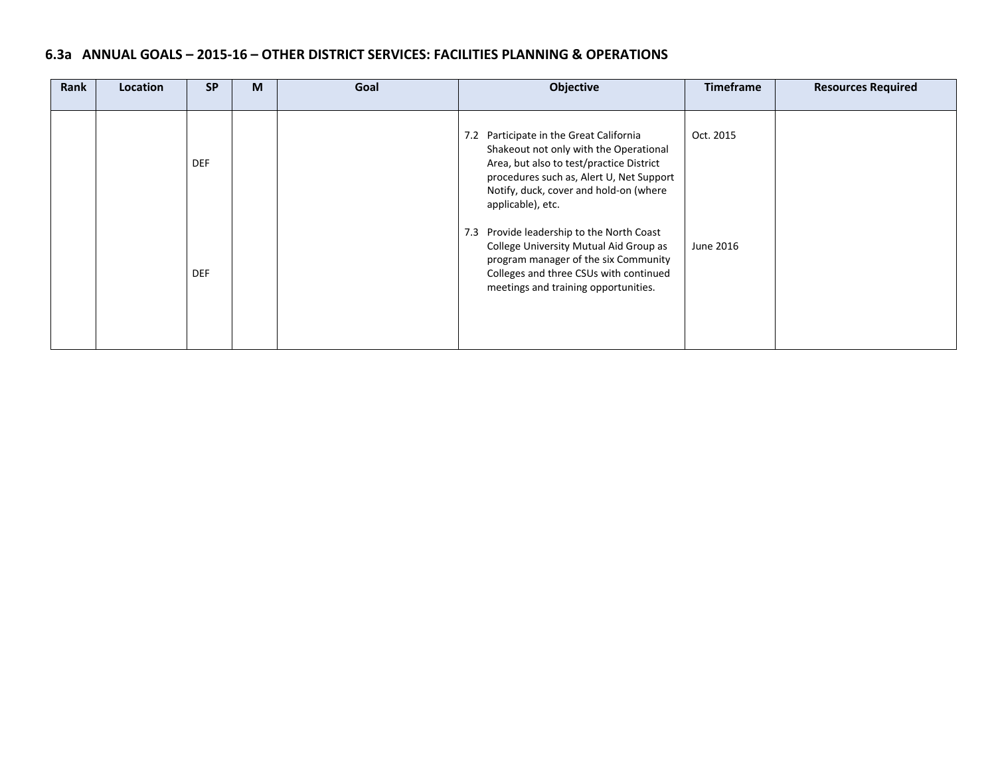## **6.3a ANNUAL GOALS – 2015‐16 – OTHER DISTRICT SERVICES: FACILITIES PLANNING & OPERATIONS**

| Rank | Location | <b>SP</b>  | M | Goal | Objective                                                                                                                                                                                                                                | <b>Timeframe</b> | <b>Resources Required</b> |
|------|----------|------------|---|------|------------------------------------------------------------------------------------------------------------------------------------------------------------------------------------------------------------------------------------------|------------------|---------------------------|
|      |          | <b>DEF</b> |   |      | 7.2 Participate in the Great California<br>Shakeout not only with the Operational<br>Area, but also to test/practice District<br>procedures such as, Alert U, Net Support<br>Notify, duck, cover and hold-on (where<br>applicable), etc. | Oct. 2015        |                           |
|      |          | <b>DEF</b> |   |      | Provide leadership to the North Coast<br>7.3<br>College University Mutual Aid Group as<br>program manager of the six Community<br>Colleges and three CSUs with continued<br>meetings and training opportunities.                         | June 2016        |                           |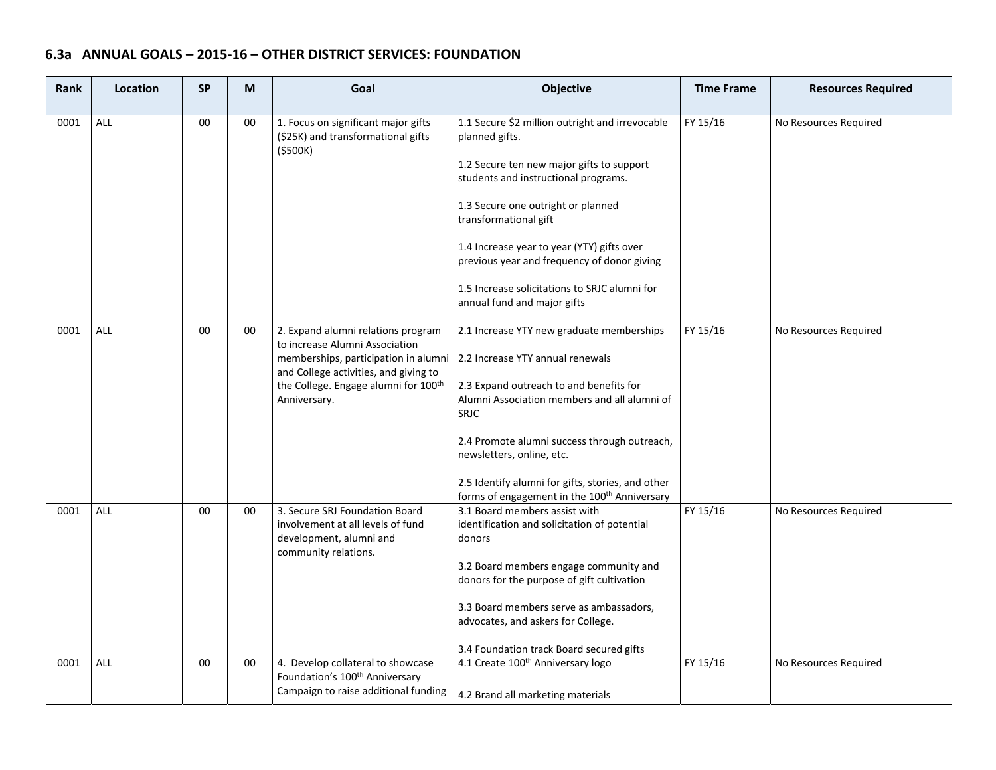# **6.3a ANNUAL GOALS – 2015‐16 – OTHER DISTRICT SERVICES: FOUNDATION**

| Rank | Location   | <b>SP</b> | M      | Goal                                                                                                                                                                                                                      | <b>Objective</b>                                                                                                                                                                                                                                                                                                                                                                                   | <b>Time Frame</b> | <b>Resources Required</b> |
|------|------------|-----------|--------|---------------------------------------------------------------------------------------------------------------------------------------------------------------------------------------------------------------------------|----------------------------------------------------------------------------------------------------------------------------------------------------------------------------------------------------------------------------------------------------------------------------------------------------------------------------------------------------------------------------------------------------|-------------------|---------------------------|
| 0001 | ALL        | 00        | 00     | 1. Focus on significant major gifts<br>(\$25K) and transformational gifts<br>(5500K)                                                                                                                                      | 1.1 Secure \$2 million outright and irrevocable<br>planned gifts.<br>1.2 Secure ten new major gifts to support<br>students and instructional programs.<br>1.3 Secure one outright or planned<br>transformational gift<br>1.4 Increase year to year (YTY) gifts over<br>previous year and frequency of donor giving<br>1.5 Increase solicitations to SRJC alumni for<br>annual fund and major gifts | FY 15/16          | No Resources Required     |
| 0001 | ALL        | 00        | 00     | 2. Expand alumni relations program<br>to increase Alumni Association<br>memberships, participation in alumni<br>and College activities, and giving to<br>the College. Engage alumni for 100 <sup>th</sup><br>Anniversary. | 2.1 Increase YTY new graduate memberships<br>2.2 Increase YTY annual renewals<br>2.3 Expand outreach to and benefits for<br>Alumni Association members and all alumni of<br><b>SRJC</b><br>2.4 Promote alumni success through outreach,<br>newsletters, online, etc.<br>2.5 Identify alumni for gifts, stories, and other<br>forms of engagement in the 100 <sup>th</sup> Anniversary              | FY 15/16          | No Resources Required     |
| 0001 | <b>ALL</b> | 00        | 00     | 3. Secure SRJ Foundation Board<br>involvement at all levels of fund<br>development, alumni and<br>community relations.                                                                                                    | 3.1 Board members assist with<br>identification and solicitation of potential<br>donors<br>3.2 Board members engage community and<br>donors for the purpose of gift cultivation<br>3.3 Board members serve as ambassadors,<br>advocates, and askers for College.<br>3.4 Foundation track Board secured gifts                                                                                       | FY 15/16          | No Resources Required     |
| 0001 | ALL        | 00        | $00\,$ | 4. Develop collateral to showcase<br>Foundation's 100 <sup>th</sup> Anniversary<br>Campaign to raise additional funding                                                                                                   | 4.1 Create 100 <sup>th</sup> Anniversary logo<br>4.2 Brand all marketing materials                                                                                                                                                                                                                                                                                                                 | FY 15/16          | No Resources Required     |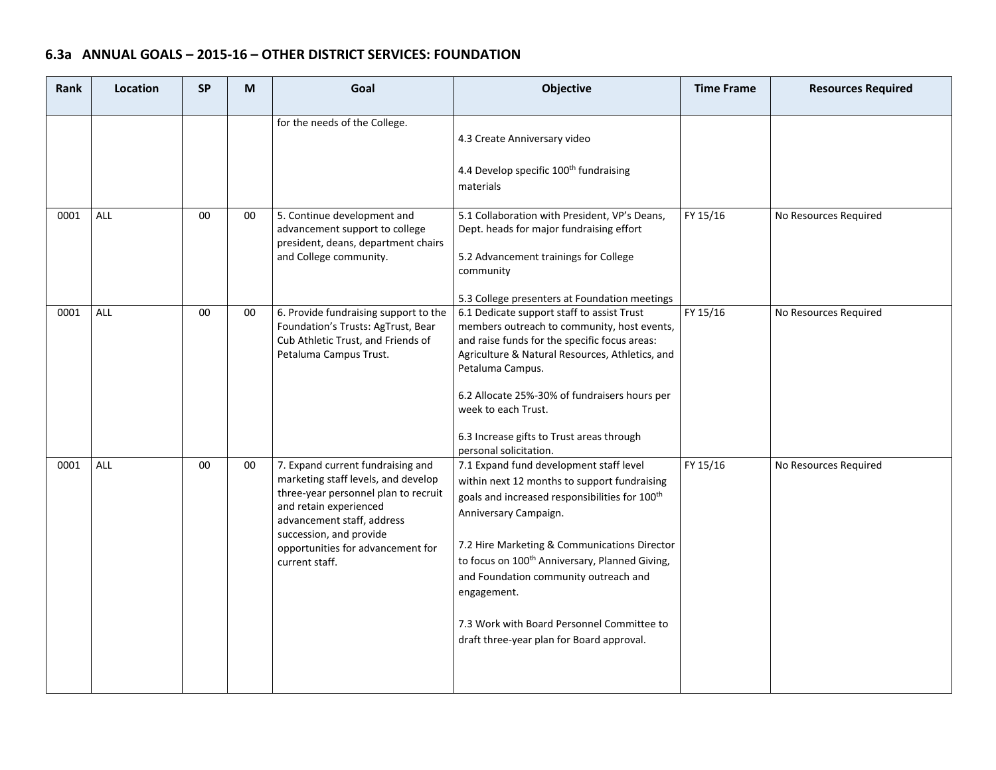# **6.3a ANNUAL GOALS – 2015‐16 – OTHER DISTRICT SERVICES: FOUNDATION**

| <b>Rank</b> | Location   | <b>SP</b> | M      | Goal                                                                                                                                                                                                                                                       | Objective                                                                                                                                                                                                                                                                                                                                                                                                                                       | <b>Time Frame</b> | <b>Resources Required</b> |
|-------------|------------|-----------|--------|------------------------------------------------------------------------------------------------------------------------------------------------------------------------------------------------------------------------------------------------------------|-------------------------------------------------------------------------------------------------------------------------------------------------------------------------------------------------------------------------------------------------------------------------------------------------------------------------------------------------------------------------------------------------------------------------------------------------|-------------------|---------------------------|
|             |            |           |        | for the needs of the College.                                                                                                                                                                                                                              | 4.3 Create Anniversary video<br>4.4 Develop specific 100 <sup>th</sup> fundraising<br>materials                                                                                                                                                                                                                                                                                                                                                 |                   |                           |
| 0001        | <b>ALL</b> | 00        | 00     | 5. Continue development and<br>advancement support to college<br>president, deans, department chairs<br>and College community.                                                                                                                             | 5.1 Collaboration with President, VP's Deans,<br>Dept. heads for major fundraising effort<br>5.2 Advancement trainings for College<br>community<br>5.3 College presenters at Foundation meetings                                                                                                                                                                                                                                                | FY 15/16          | No Resources Required     |
| 0001        | <b>ALL</b> | 00        | $00\,$ | 6. Provide fundraising support to the<br>Foundation's Trusts: AgTrust, Bear<br>Cub Athletic Trust, and Friends of<br>Petaluma Campus Trust.                                                                                                                | 6.1 Dedicate support staff to assist Trust<br>members outreach to community, host events,<br>and raise funds for the specific focus areas:<br>Agriculture & Natural Resources, Athletics, and<br>Petaluma Campus.<br>6.2 Allocate 25%-30% of fundraisers hours per<br>week to each Trust.<br>6.3 Increase gifts to Trust areas through<br>personal solicitation.                                                                                | FY 15/16          | No Resources Required     |
| 0001        | ALL        | $00\,$    | $00\,$ | 7. Expand current fundraising and<br>marketing staff levels, and develop<br>three-year personnel plan to recruit<br>and retain experienced<br>advancement staff, address<br>succession, and provide<br>opportunities for advancement for<br>current staff. | 7.1 Expand fund development staff level<br>within next 12 months to support fundraising<br>goals and increased responsibilities for 100 <sup>th</sup><br>Anniversary Campaign.<br>7.2 Hire Marketing & Communications Director<br>to focus on 100 <sup>th</sup> Anniversary, Planned Giving,<br>and Foundation community outreach and<br>engagement.<br>7.3 Work with Board Personnel Committee to<br>draft three-year plan for Board approval. | FY 15/16          | No Resources Required     |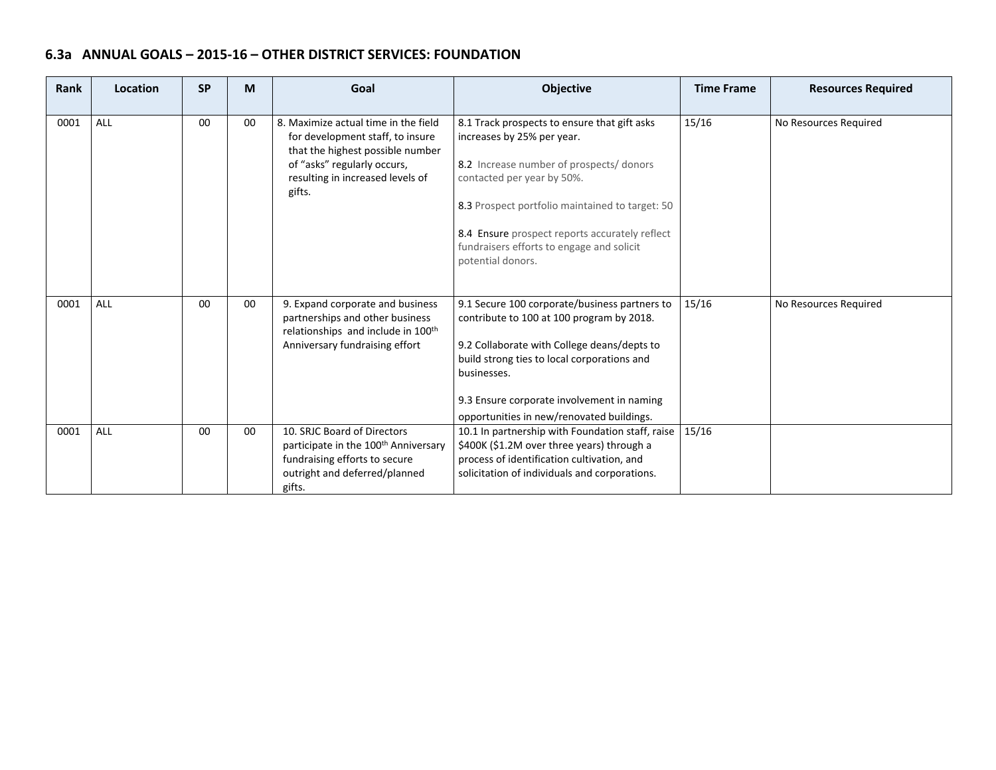# **6.3a ANNUAL GOALS – 2015‐16 – OTHER DISTRICT SERVICES: FOUNDATION**

| Rank | Location | <b>SP</b> | M      | Goal                                                                                                                                                                                      | Objective                                                                                                                                                                                                                                                                                                                   | <b>Time Frame</b> | <b>Resources Required</b> |
|------|----------|-----------|--------|-------------------------------------------------------------------------------------------------------------------------------------------------------------------------------------------|-----------------------------------------------------------------------------------------------------------------------------------------------------------------------------------------------------------------------------------------------------------------------------------------------------------------------------|-------------------|---------------------------|
| 0001 | ALL      | 00        | $00\,$ | 8. Maximize actual time in the field<br>for development staff, to insure<br>that the highest possible number<br>of "asks" regularly occurs,<br>resulting in increased levels of<br>gifts. | 8.1 Track prospects to ensure that gift asks<br>increases by 25% per year.<br>8.2 Increase number of prospects/ donors<br>contacted per year by 50%.<br>8.3 Prospect portfolio maintained to target: 50<br>8.4 Ensure prospect reports accurately reflect<br>fundraisers efforts to engage and solicit<br>potential donors. | 15/16             | No Resources Required     |
| 0001 | ALL      | $00\,$    | $00\,$ | 9. Expand corporate and business<br>partnerships and other business<br>relationships and include in 100 <sup>th</sup><br>Anniversary fundraising effort                                   | 9.1 Secure 100 corporate/business partners to<br>contribute to 100 at 100 program by 2018.<br>9.2 Collaborate with College deans/depts to<br>build strong ties to local corporations and<br>businesses.<br>9.3 Ensure corporate involvement in naming<br>opportunities in new/renovated buildings.                          | 15/16             | No Resources Required     |
| 0001 | ALL      | 00        | $00\,$ | 10. SRJC Board of Directors<br>participate in the 100 <sup>th</sup> Anniversary<br>fundraising efforts to secure<br>outright and deferred/planned<br>gifts.                               | 10.1 In partnership with Foundation staff, raise<br>\$400K (\$1.2M over three years) through a<br>process of identification cultivation, and<br>solicitation of individuals and corporations.                                                                                                                               | 15/16             |                           |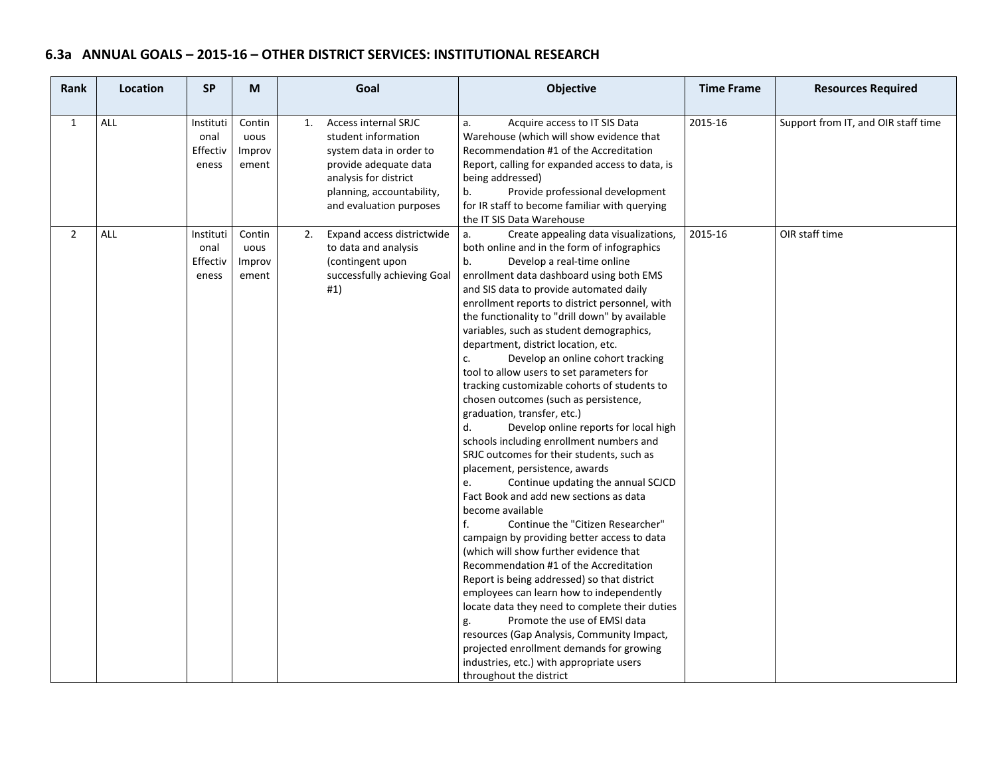### **6.3a ANNUAL GOALS – 2015‐16 – OTHER DISTRICT SERVICES: INSTITUTIONAL RESEARCH**

| Rank           | Location | <b>SP</b>                              | M                                 | Goal                                                                                                                                                                                          | Objective                                                                                                                                                                                                                                                                                                                                                                                                                                                                                                                                                                                                                                                                                                                                                                                                                                                                                                                                                                                                                                                                                                                                                                                                                                                                                                                                                                                                                                          | <b>Time Frame</b> | <b>Resources Required</b>           |
|----------------|----------|----------------------------------------|-----------------------------------|-----------------------------------------------------------------------------------------------------------------------------------------------------------------------------------------------|----------------------------------------------------------------------------------------------------------------------------------------------------------------------------------------------------------------------------------------------------------------------------------------------------------------------------------------------------------------------------------------------------------------------------------------------------------------------------------------------------------------------------------------------------------------------------------------------------------------------------------------------------------------------------------------------------------------------------------------------------------------------------------------------------------------------------------------------------------------------------------------------------------------------------------------------------------------------------------------------------------------------------------------------------------------------------------------------------------------------------------------------------------------------------------------------------------------------------------------------------------------------------------------------------------------------------------------------------------------------------------------------------------------------------------------------------|-------------------|-------------------------------------|
| $\mathbf{1}$   | ALL      | Instituti<br>onal<br>Effectiv<br>eness | Contin<br>uous<br>Improv<br>ement | <b>Access internal SRJC</b><br>1.<br>student information<br>system data in order to<br>provide adequate data<br>analysis for district<br>planning, accountability,<br>and evaluation purposes | Acquire access to IT SIS Data<br>a.<br>Warehouse (which will show evidence that<br>Recommendation #1 of the Accreditation<br>Report, calling for expanded access to data, is<br>being addressed)<br>Provide professional development<br>b.<br>for IR staff to become familiar with querying<br>the IT SIS Data Warehouse                                                                                                                                                                                                                                                                                                                                                                                                                                                                                                                                                                                                                                                                                                                                                                                                                                                                                                                                                                                                                                                                                                                           | 2015-16           | Support from IT, and OIR staff time |
| $\overline{2}$ | ALL      | Instituti<br>onal<br>Effectiv<br>eness | Contin<br>uous<br>Improv<br>ement | Expand access districtwide<br>2.<br>to data and analysis<br>(contingent upon<br>successfully achieving Goal<br>#1)                                                                            | a.<br>Create appealing data visualizations,<br>both online and in the form of infographics<br>b.<br>Develop a real-time online<br>enrollment data dashboard using both EMS<br>and SIS data to provide automated daily<br>enrollment reports to district personnel, with<br>the functionality to "drill down" by available<br>variables, such as student demographics,<br>department, district location, etc.<br>Develop an online cohort tracking<br>c.<br>tool to allow users to set parameters for<br>tracking customizable cohorts of students to<br>chosen outcomes (such as persistence,<br>graduation, transfer, etc.)<br>Develop online reports for local high<br>d.<br>schools including enrollment numbers and<br>SRJC outcomes for their students, such as<br>placement, persistence, awards<br>Continue updating the annual SCJCD<br>e.<br>Fact Book and add new sections as data<br>become available<br>f.<br>Continue the "Citizen Researcher"<br>campaign by providing better access to data<br>(which will show further evidence that<br>Recommendation #1 of the Accreditation<br>Report is being addressed) so that district<br>employees can learn how to independently<br>locate data they need to complete their duties<br>Promote the use of EMSI data<br>g.<br>resources (Gap Analysis, Community Impact,<br>projected enrollment demands for growing<br>industries, etc.) with appropriate users<br>throughout the district | 2015-16           | OIR staff time                      |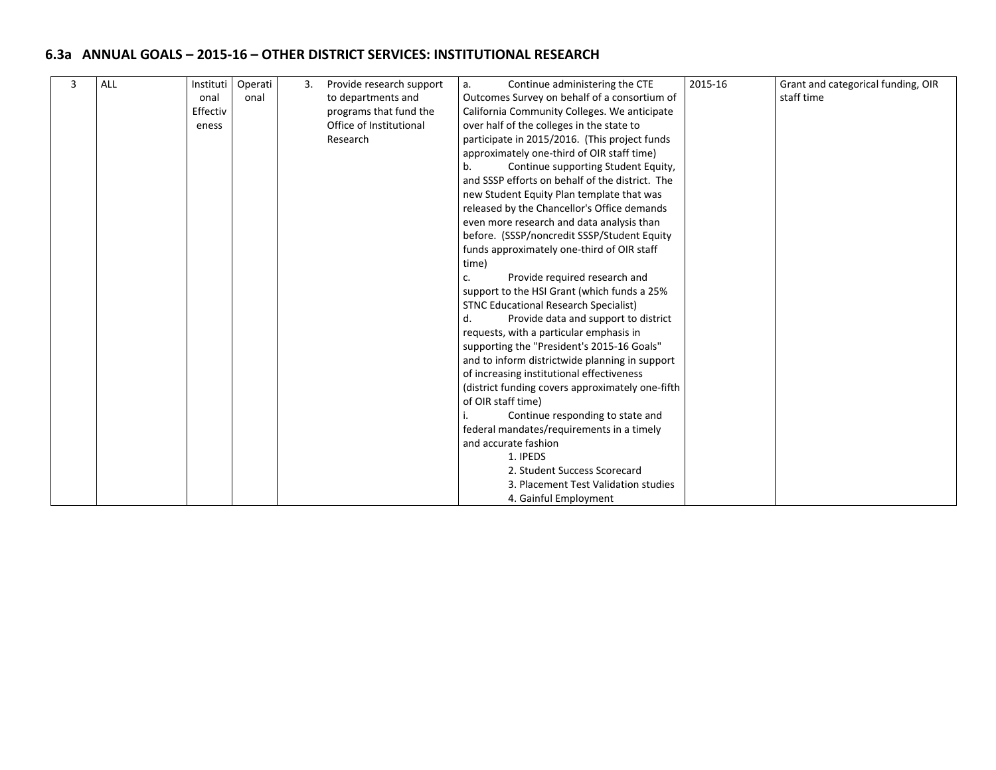# **6.3a ANNUAL GOALS – 2015‐16 – OTHER DISTRICT SERVICES: INSTITUTIONAL RESEARCH**

| 3 | <b>ALL</b> | Instituti | Operati | 3. | Provide research support | Continue administering the CTE<br>a.             |                                                | 2015-16 | Grant and categorical funding, OIR |
|---|------------|-----------|---------|----|--------------------------|--------------------------------------------------|------------------------------------------------|---------|------------------------------------|
|   |            | onal      | onal    |    | to departments and       | Outcomes Survey on behalf of a consortium of     |                                                |         | staff time                         |
|   |            | Effectiv  |         |    | programs that fund the   | California Community Colleges. We anticipate     |                                                |         |                                    |
|   |            | eness     |         |    | Office of Institutional  | over half of the colleges in the state to        |                                                |         |                                    |
|   |            |           |         |    | Research                 | participate in 2015/2016. (This project funds    |                                                |         |                                    |
|   |            |           |         |    |                          | approximately one-third of OIR staff time)       |                                                |         |                                    |
|   |            |           |         |    |                          | Continue supporting Student Equity,<br>b.        |                                                |         |                                    |
|   |            |           |         |    |                          | and SSSP efforts on behalf of the district. The  |                                                |         |                                    |
|   |            |           |         |    |                          | new Student Equity Plan template that was        |                                                |         |                                    |
|   |            |           |         |    |                          | released by the Chancellor's Office demands      |                                                |         |                                    |
|   |            |           |         |    |                          |                                                  | even more research and data analysis than      |         |                                    |
|   |            |           |         |    |                          |                                                  | before. (SSSP/noncredit SSSP/Student Equity    |         |                                    |
|   |            |           |         |    |                          |                                                  | funds approximately one-third of OIR staff     |         |                                    |
|   |            |           |         |    |                          | time)                                            |                                                |         |                                    |
|   |            |           |         |    |                          | c.                                               | Provide required research and                  |         |                                    |
|   |            |           |         |    |                          |                                                  | support to the HSI Grant (which funds a 25%    |         |                                    |
|   |            |           |         |    |                          |                                                  | <b>STNC Educational Research Specialist)</b>   |         |                                    |
|   |            |           |         |    |                          | d.                                               | Provide data and support to district           |         |                                    |
|   |            |           |         |    |                          |                                                  | requests, with a particular emphasis in        |         |                                    |
|   |            |           |         |    |                          |                                                  | supporting the "President's 2015-16 Goals"     |         |                                    |
|   |            |           |         |    |                          |                                                  | and to inform districtwide planning in support |         |                                    |
|   |            |           |         |    |                          | of increasing institutional effectiveness        |                                                |         |                                    |
|   |            |           |         |    |                          | (district funding covers approximately one-fifth |                                                |         |                                    |
|   |            |           |         |    |                          | of OIR staff time)                               |                                                |         |                                    |
|   |            |           |         |    |                          | Continue responding to state and                 |                                                |         |                                    |
|   |            |           |         |    |                          | federal mandates/requirements in a timely        |                                                |         |                                    |
|   |            |           |         |    |                          | and accurate fashion                             |                                                |         |                                    |
|   |            |           |         |    |                          | 1. IPEDS                                         |                                                |         |                                    |
|   |            |           |         |    |                          | 2. Student Success Scorecard                     |                                                |         |                                    |
|   |            |           |         |    |                          | 3. Placement Test Validation studies             |                                                |         |                                    |
|   |            |           |         |    |                          |                                                  | 4. Gainful Employment                          |         |                                    |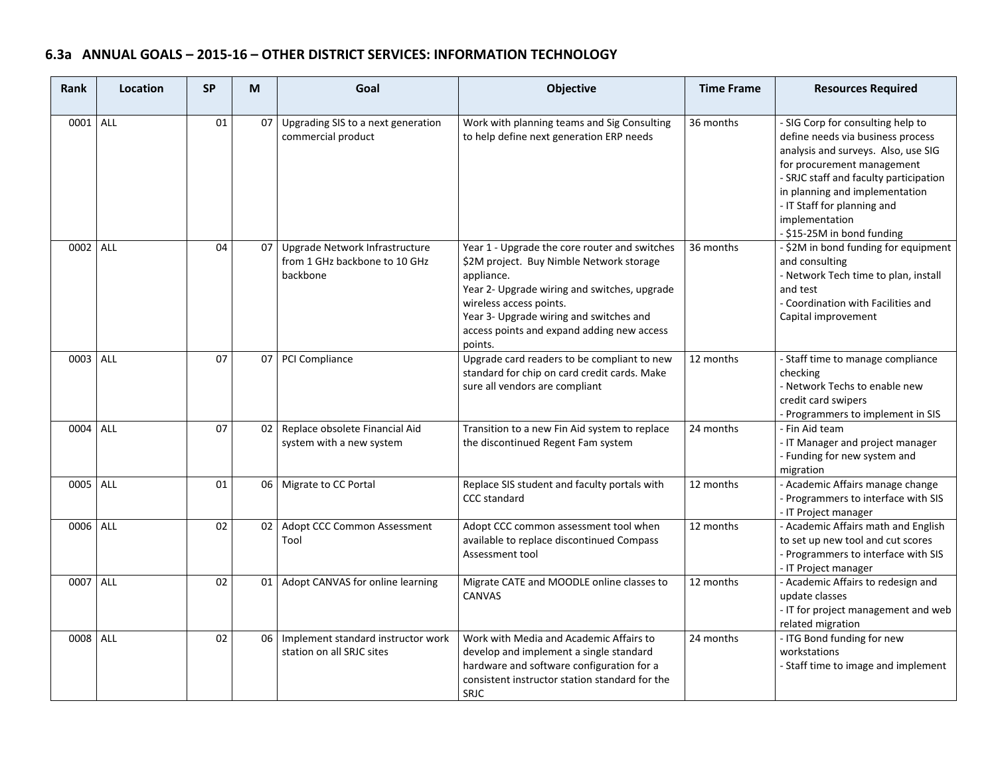# **6.3a ANNUAL GOALS – 2015‐16 – OTHER DISTRICT SERVICES: INFORMATION TECHNOLOGY**

| Rank     | Location | <b>SP</b>       | M               | Goal                                                                        | Objective                                                                                                                                                                                                                                                                              | <b>Time Frame</b> | <b>Resources Required</b>                                                                                                                                                                                                                                                                              |
|----------|----------|-----------------|-----------------|-----------------------------------------------------------------------------|----------------------------------------------------------------------------------------------------------------------------------------------------------------------------------------------------------------------------------------------------------------------------------------|-------------------|--------------------------------------------------------------------------------------------------------------------------------------------------------------------------------------------------------------------------------------------------------------------------------------------------------|
| 0001     | ALL      | 01              |                 | 07 Upgrading SIS to a next generation<br>commercial product                 | Work with planning teams and Sig Consulting<br>to help define next generation ERP needs                                                                                                                                                                                                | 36 months         | - SIG Corp for consulting help to<br>define needs via business process<br>analysis and surveys. Also, use SIG<br>for procurement management<br>- SRJC staff and faculty participation<br>in planning and implementation<br>- IT Staff for planning and<br>implementation<br>- \$15-25M in bond funding |
| 0002     | ALL      | 04              | 07              | Upgrade Network Infrastructure<br>from 1 GHz backbone to 10 GHz<br>backbone | Year 1 - Upgrade the core router and switches<br>\$2M project. Buy Nimble Network storage<br>appliance.<br>Year 2- Upgrade wiring and switches, upgrade<br>wireless access points.<br>Year 3- Upgrade wiring and switches and<br>access points and expand adding new access<br>points. | 36 months         | - \$2M in bond funding for equipment<br>and consulting<br>- Network Tech time to plan, install<br>and test<br>- Coordination with Facilities and<br>Capital improvement                                                                                                                                |
| 0003     | ALL      | 07              |                 | 07 PCI Compliance                                                           | Upgrade card readers to be compliant to new<br>standard for chip on card credit cards. Make<br>sure all vendors are compliant                                                                                                                                                          | 12 months         | - Staff time to manage compliance<br>checking<br>- Network Techs to enable new<br>credit card swipers<br>- Programmers to implement in SIS                                                                                                                                                             |
| 0004     | ALL      | 07              |                 | 02 Replace obsolete Financial Aid<br>system with a new system               | Transition to a new Fin Aid system to replace<br>the discontinued Regent Fam system                                                                                                                                                                                                    | 24 months         | - Fin Aid team<br>- IT Manager and project manager<br>- Funding for new system and<br>migration                                                                                                                                                                                                        |
| 0005 ALL |          | 01              |                 | 06 Migrate to CC Portal                                                     | Replace SIS student and faculty portals with<br><b>CCC</b> standard                                                                                                                                                                                                                    | 12 months         | - Academic Affairs manage change<br>Programmers to interface with SIS<br>- IT Project manager                                                                                                                                                                                                          |
| 0006 ALL |          | 02              | 02 <sub>1</sub> | Adopt CCC Common Assessment<br>Tool                                         | Adopt CCC common assessment tool when<br>available to replace discontinued Compass<br>Assessment tool                                                                                                                                                                                  | 12 months         | - Academic Affairs math and English<br>to set up new tool and cut scores<br>- Programmers to interface with SIS<br>- IT Project manager                                                                                                                                                                |
| 0007     | ALL      | $\overline{02}$ |                 | 01 Adopt CANVAS for online learning                                         | Migrate CATE and MOODLE online classes to<br><b>CANVAS</b>                                                                                                                                                                                                                             | 12 months         | - Academic Affairs to redesign and<br>update classes<br>- IT for project management and web<br>related migration                                                                                                                                                                                       |
| 0008 ALL |          | 02              |                 | 06   Implement standard instructor work<br>station on all SRJC sites        | Work with Media and Academic Affairs to<br>develop and implement a single standard<br>hardware and software configuration for a<br>consistent instructor station standard for the<br>SRJC                                                                                              | 24 months         | - ITG Bond funding for new<br>workstations<br>- Staff time to image and implement                                                                                                                                                                                                                      |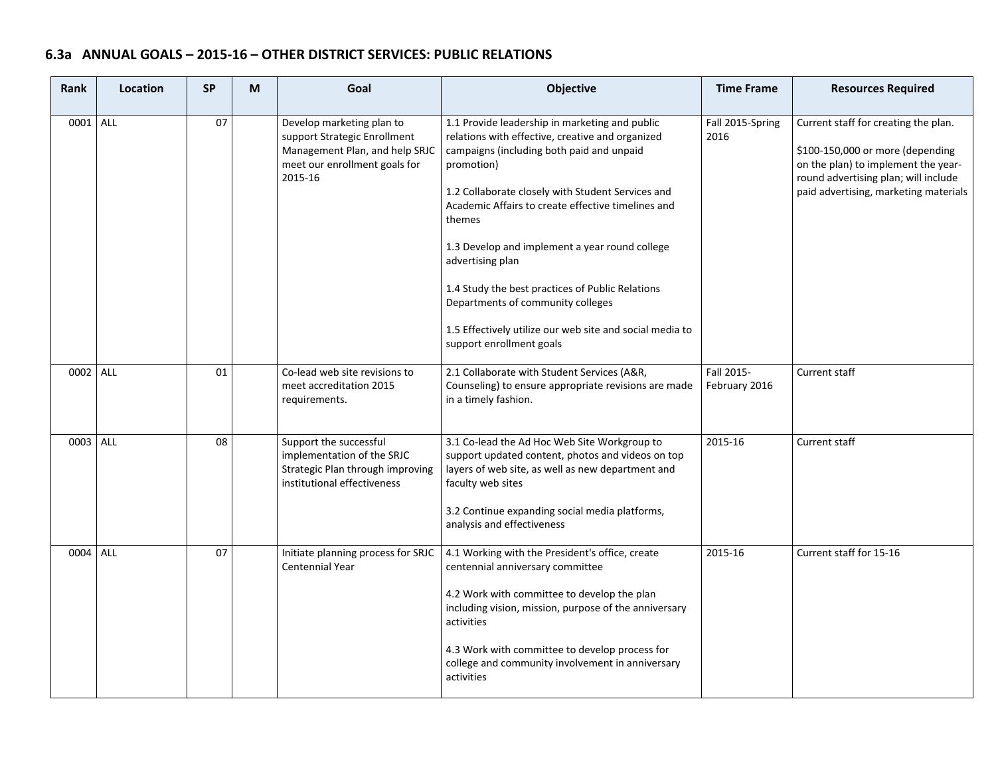# **6.3a ANNUAL GOALS – 2015‐16 – OTHER DISTRICT SERVICES: PUBLIC RELATIONS**

| <b>Rank</b> | Location | <b>SP</b> | Goal<br>M |                                                                                                                                         | Objective                                                                                                                                                                                                                                                                                                                                                                                                                                                                                                                                 | <b>Time Frame</b>           | <b>Resources Required</b>                                                                                                                                                                        |
|-------------|----------|-----------|-----------|-----------------------------------------------------------------------------------------------------------------------------------------|-------------------------------------------------------------------------------------------------------------------------------------------------------------------------------------------------------------------------------------------------------------------------------------------------------------------------------------------------------------------------------------------------------------------------------------------------------------------------------------------------------------------------------------------|-----------------------------|--------------------------------------------------------------------------------------------------------------------------------------------------------------------------------------------------|
| 0001 ALL    |          | 07        |           | Develop marketing plan to<br>support Strategic Enrollment<br>Management Plan, and help SRJC<br>meet our enrollment goals for<br>2015-16 | 1.1 Provide leadership in marketing and public<br>relations with effective, creative and organized<br>campaigns (including both paid and unpaid<br>promotion)<br>1.2 Collaborate closely with Student Services and<br>Academic Affairs to create effective timelines and<br>themes<br>1.3 Develop and implement a year round college<br>advertising plan<br>1.4 Study the best practices of Public Relations<br>Departments of community colleges<br>1.5 Effectively utilize our web site and social media to<br>support enrollment goals | Fall 2015-Spring<br>2016    | Current staff for creating the plan.<br>\$100-150,000 or more (depending<br>on the plan) to implement the year-<br>round advertising plan; will include<br>paid advertising, marketing materials |
| 0002 ALL    |          | 01        |           | Co-lead web site revisions to<br>meet accreditation 2015<br>requirements.                                                               | 2.1 Collaborate with Student Services (A&R,<br>Counseling) to ensure appropriate revisions are made<br>in a timely fashion.                                                                                                                                                                                                                                                                                                                                                                                                               | Fall 2015-<br>February 2016 | <b>Current staff</b>                                                                                                                                                                             |
| 0003 ALL    |          | 08        |           | Support the successful<br>implementation of the SRJC<br>Strategic Plan through improving<br>institutional effectiveness                 | 3.1 Co-lead the Ad Hoc Web Site Workgroup to<br>support updated content, photos and videos on top<br>layers of web site, as well as new department and<br>faculty web sites<br>3.2 Continue expanding social media platforms,<br>analysis and effectiveness                                                                                                                                                                                                                                                                               | 2015-16                     | Current staff                                                                                                                                                                                    |
| 0004 ALL    |          | 07        |           | Initiate planning process for SRJC<br>Centennial Year                                                                                   | 4.1 Working with the President's office, create<br>centennial anniversary committee<br>4.2 Work with committee to develop the plan<br>including vision, mission, purpose of the anniversary<br>activities<br>4.3 Work with committee to develop process for<br>college and community involvement in anniversary<br>activities                                                                                                                                                                                                             | 2015-16                     | Current staff for 15-16                                                                                                                                                                          |